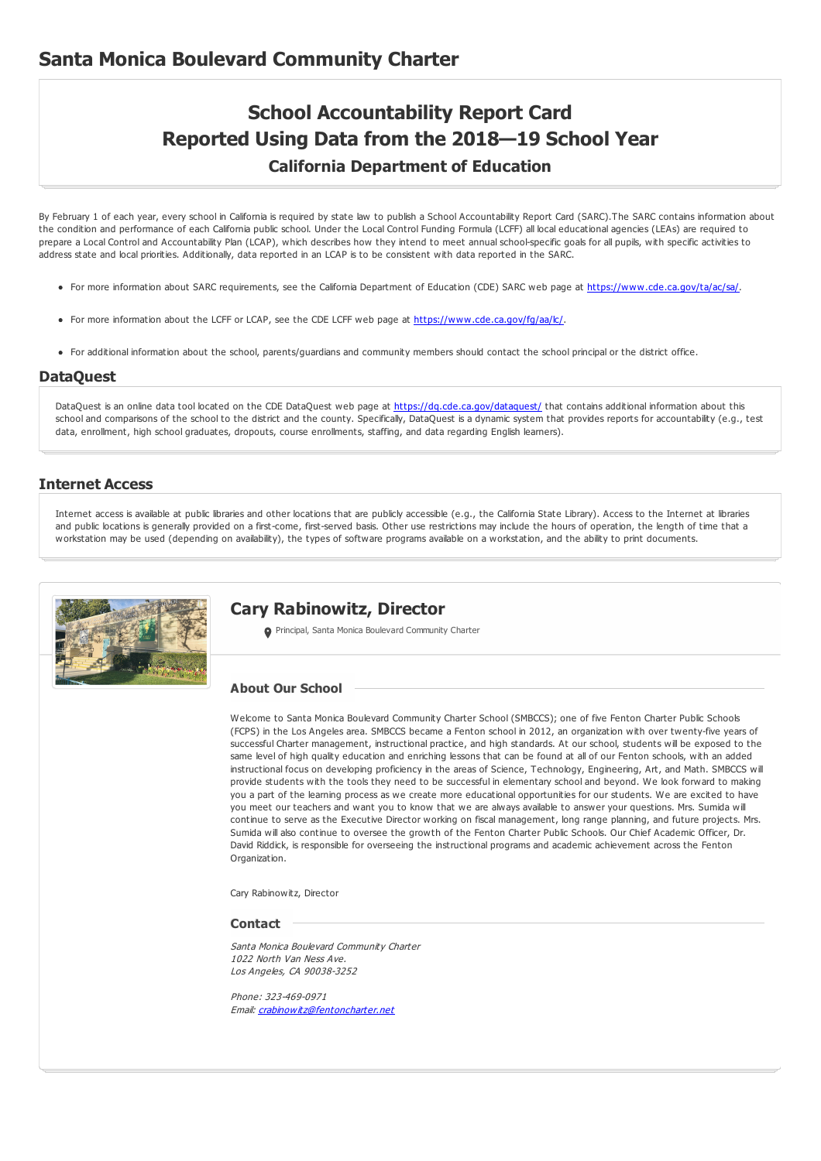## **School Accountability Report Card Reported Using Data from the 2018—19 School Year California Department of Education**

By February 1 of each year, every school in California is required by state law to publish a School Accountability Report Card (SARC).The SARC contains information about the condition and performance of each California public school. Under the Local Control Funding Formula (LCFF) all local educational agencies (LEAs) are required to prepare a Local Control and Accountability Plan (LCAP), which describes how they intend to meet annual school-specific goals for all pupils, with specific activities to address state and local priorities. Additionally, data reported in an LCAP is to be consistent with data reported in the SARC.

- For more information about SARC requirements, see the California Department of Education (CDE) SARC web page at <https://www.cde.ca.gov/ta/ac/sa/>.
- For more information about the LCFF or LCAP, see the CDE LCFF web page at <https://www.cde.ca.gov/fg/aa/lc/>.
- For additional information about the school, parents/guardians and community members should contact the school principal or the district office.

#### **DataQuest**

DataQuest is an online data tool located on the CDE DataQuest web page at <https://dq.cde.ca.gov/dataquest/> that contains additional information about this school and comparisons of the school to the district and the county. Specifically, DataQuest is a dynamic system that provides reports for accountability (e.g., test data, enrollment, high school graduates, dropouts, course enrollments, staffing, and data regarding English learners).

### **Internet Access**

Internet access is available at public libraries and other locations that are publicly accessible (e.g., the California State Library). Access to the Internet at libraries and public locations is generally provided on a first-come, first-served basis. Other use restrictions may include the hours of operation, the length of time that a workstation may be used (depending on availability), the types of software programs available on a workstation, and the ability to print documents.



## **Cary Rabinowitz, Director**

**O** Principal, Santa Monica Boulevard Community Charter

### **About Our School**

Welcome to Santa Monica Boulevard Community Charter School (SMBCCS); one of five Fenton Charter Public Schools (FCPS) in the Los Angeles area. SMBCCS became a Fenton school in 2012, an organization with over twenty-five years of successful Charter management, instructional practice, and high standards. At our school, students will be exposed to the same level of high quality education and enriching lessons that can be found at all of our Fenton schools, with an added instructional focus on developing proficiency in the areas of Science, Technology, Engineering, Art, and Math. SMBCCS will provide students with the tools they need to be successful in elementary school and beyond. We look forward to making you a part of the learning process as we create more educational opportunities for our students. We are excited to have you meet our teachers and want you to know that we are always available to answer your questions. Mrs. Sumida will continue to serve as the Executive Director working on fiscal management, long range planning, and future projects. Mrs. Sumida will also continue to oversee the growth of the Fenton Charter Public Schools. Our Chief Academic Officer, Dr. David Riddick, is responsible for overseeing the instructional programs and academic achievement across the Fenton Organization.

Cary Rabinowitz, Director

#### **Contact**

Santa Monica Boulevard Community Charter 1022 North Van Ness Ave. Los Angeles, CA 90038-3252

Phone: 323-469-0971 Email: [crabinowitz@fentoncharter.net](mailto:crabinowitz@fentoncharter.net)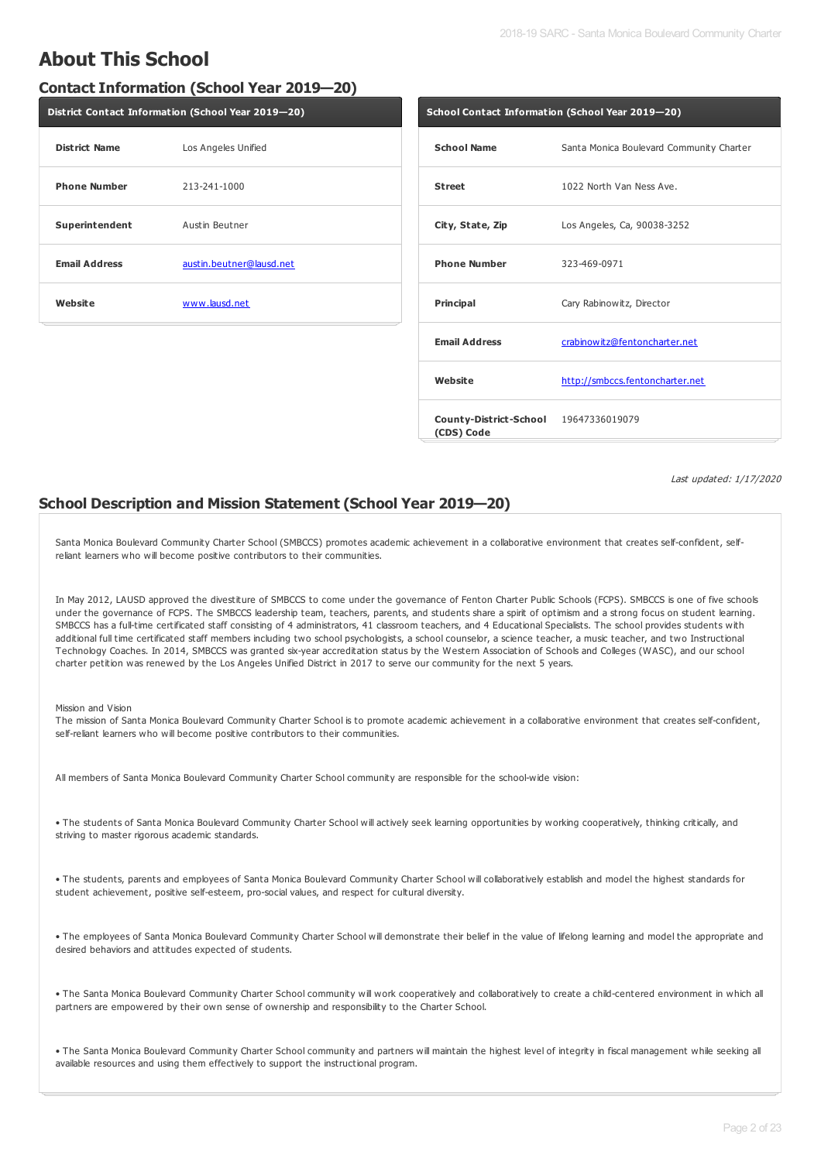## **About This School**

## **Contact Information (School Year 2019—20)**

| District Contact Information (School Year 2019-20) |                          |  |  |  |  |
|----------------------------------------------------|--------------------------|--|--|--|--|
| <b>District Name</b><br>Los Angeles Unified        |                          |  |  |  |  |
| <b>Phone Number</b>                                | 213-241-1000             |  |  |  |  |
| Superintendent                                     | Austin Beutner           |  |  |  |  |
| <b>Email Address</b>                               | austin.beutner@lausd.net |  |  |  |  |
| Website                                            | www.lausd.net            |  |  |  |  |

| School Contact Information (School Year 2019-20)    |                                          |  |  |  |
|-----------------------------------------------------|------------------------------------------|--|--|--|
| <b>School Name</b>                                  | Santa Monica Boulevard Community Charter |  |  |  |
| <b>Street</b>                                       | 1022 North Van Ness Ave.                 |  |  |  |
| City, State, Zip                                    | Los Angeles, Ca, 90038-3252              |  |  |  |
| <b>Phone Number</b>                                 | 323-469-0971                             |  |  |  |
| Principal                                           | Cary Rabinowitz, Director                |  |  |  |
| <b>Email Address</b>                                | crabinowitz@fentoncharter.net            |  |  |  |
| Website                                             | http://smbccs.fentoncharter.net          |  |  |  |
| County-District-School 19647336019079<br>(CDS) Code |                                          |  |  |  |

Last updated: 1/17/2020

## **School Description and Mission Statement (School Year 2019—20)**

Santa Monica Boulevard Community Charter School (SMBCCS) promotes academic achievement in a collaborative environment that creates self-confident, selfreliant learners who will become positive contributors to their communities.

In May 2012, LAUSD approved the divestiture of SMBCCS to come under the governance of Fenton Charter Public Schools (FCPS). SMBCCS is one of five schools under the governance of FCPS. The SMBCCS leadership team, teachers, parents, and students share a spirit of optimism and a strong focus on student learning. SMBCCS has a full-time certificated staff consisting of 4 administrators, 41 classroom teachers, and 4 Educational Specialists. The school provides students with additional full time certificated staff members including two school psychologists, a school counselor, a science teacher, a music teacher, and two Instructional Technology Coaches. In 2014, SMBCCS was granted six-year accreditation status by the Western Association of Schools and Colleges (WASC), and our school charter petition was renewed by the Los Angeles Unified District in 2017 to serve our community for the next 5 years.

#### Mission and Vision

The mission of Santa Monica Boulevard Community Charter School is to promote academic achievement in a collaborative environment that creates self-confident, self-reliant learners who will become positive contributors to their communities.

All members of Santa Monica Boulevard Community Charter School community are responsible for the school-wide vision:

• The students of Santa Monica Boulevard Community Charter School will actively seek learning opportunities by working cooperatively, thinking critically, and striving to master rigorous academic standards.

• The students, parents and employees of Santa Monica Boulevard Community Charter School will collaboratively establish and model the highest standards for student achievement, positive self-esteem, pro-social values, and respect for cultural diversity.

• The employees of Santa Monica Boulevard Community Charter School will demonstrate their belief in the value of lifelong learning and model the appropriate and desired behaviors and attitudes expected of students.

• The Santa Monica Boulevard Community Charter School community will work cooperatively and collaboratively to create a child-centered environment in which all partners are empowered by their own sense of ownership and responsibility to the Charter School.

• The Santa Monica Boulevard Community Charter School community and partners will maintain the highest level of integrity in fiscal management while seeking all available resources and using them effectively to support the instructional program.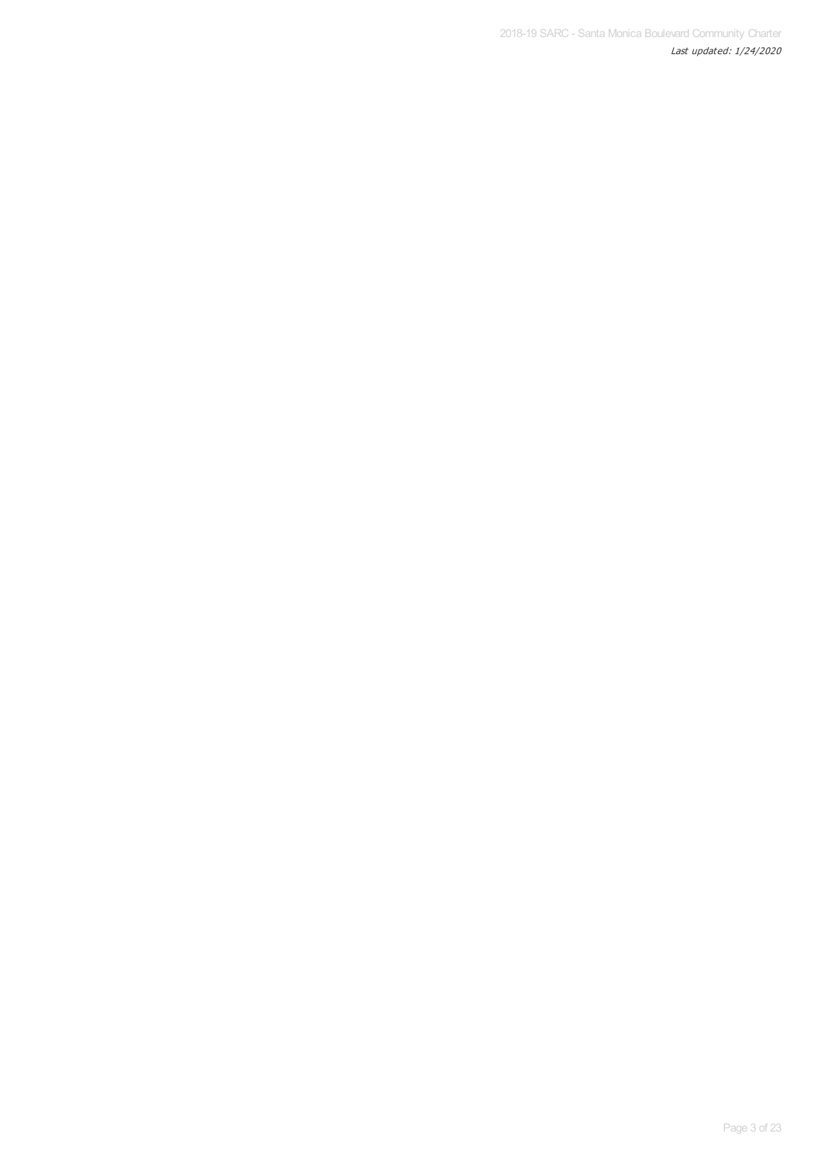Last updated: 1/24/2020 2018-19 SARC - Santa Monica Boulevard Community Charter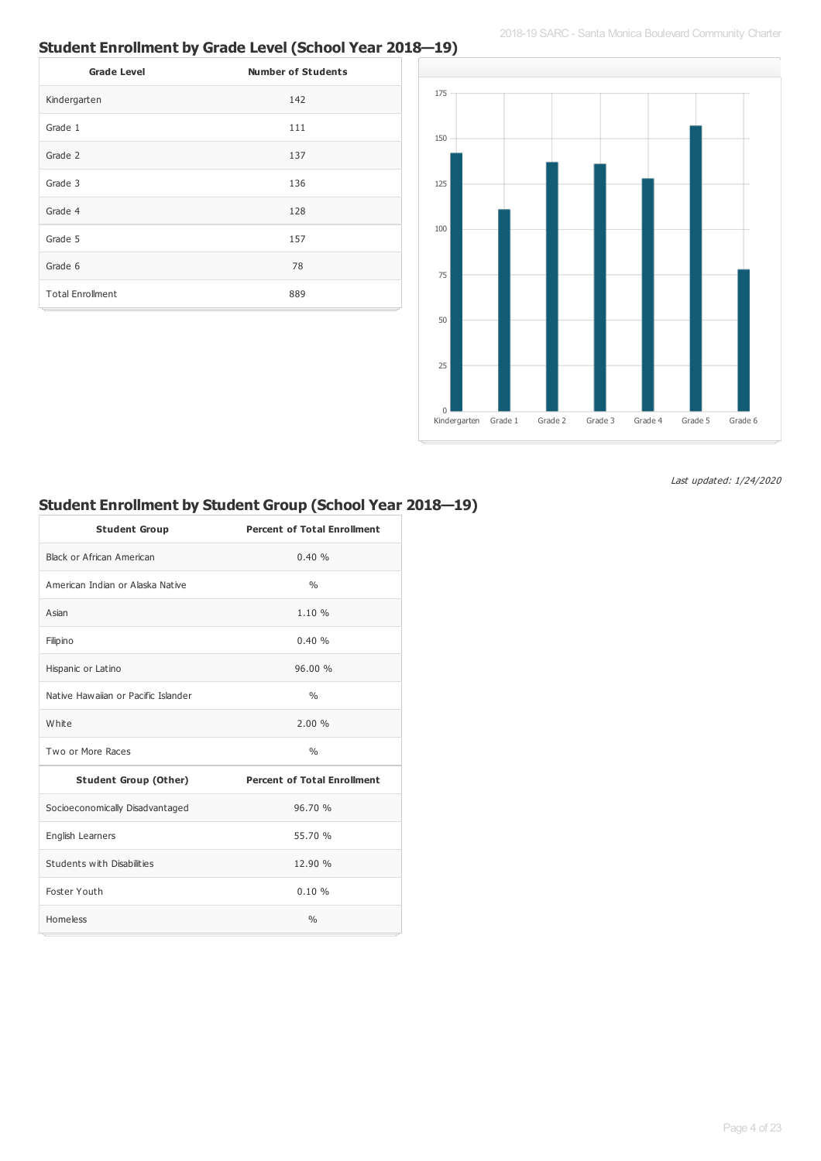2018-19 SARC - Santa Monica Boulevard Community Charter

## **Student Enrollment by Grade Level (School Year 2018—19)**

| <b>Grade Level</b>      | <b>Number of Students</b> |
|-------------------------|---------------------------|
| Kindergarten            | 142                       |
| Grade 1                 | 111                       |
| Grade 2                 | 137                       |
| Grade 3                 | 136                       |
| Grade 4                 | 128                       |
| Grade 5                 | 157                       |
| Grade 6                 | 78                        |
| <b>Total Enrollment</b> | 889                       |



Last updated: 1/24/2020

## **Student Enrollment by Student Group (School Year 2018—19)**

| <b>Student Group</b>                | <b>Percent of Total Enrollment</b> |
|-------------------------------------|------------------------------------|
| Black or African American           | 0.40%                              |
| American Indian or Alaska Native    | $\frac{0}{0}$                      |
| Asian                               | 1.10 %                             |
| Filipino                            | 0.40%                              |
| Hispanic or Latino                  | 96.00%                             |
| Native Hawaijan or Pacific Islander | $\frac{0}{0}$                      |
| White                               | 2.00%                              |
| Two or More Races                   | $\frac{0}{0}$                      |
| <b>Student Group (Other)</b>        | <b>Percent of Total Enrollment</b> |
| Socioeconomically Disadvantaged     | 96.70 %                            |
| English Learners                    | 55.70 %                            |
| Students with Disabilities          | 12.90 %                            |
| Foster Youth                        | 0.10%                              |
| Homeless                            | $\frac{0}{0}$                      |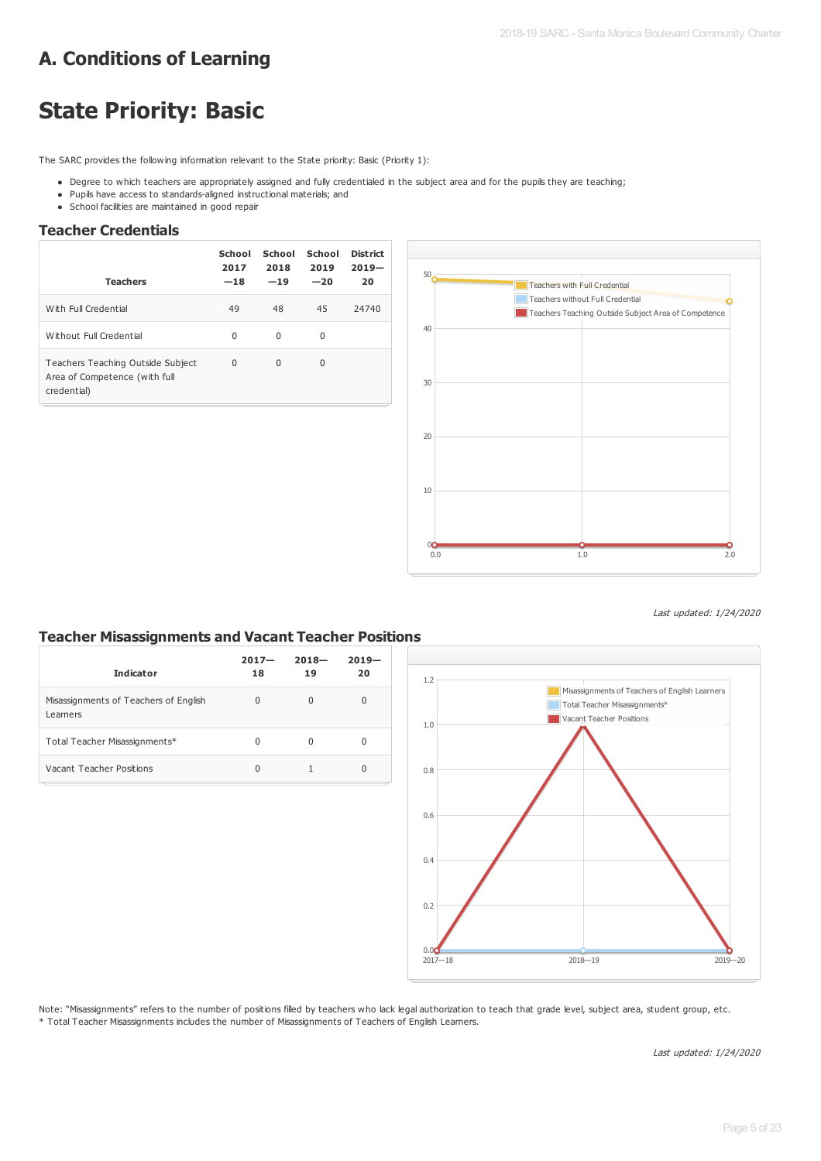## **A. Conditions of Learning**

# **State Priority: Basic**

The SARC provides the following information relevant to the State priority: Basic (Priority 1):

- Degree to which teachers are appropriately assigned and fully credentialed in the subject area and for the pupils they are teaching;
- Pupils have access to standards-aligned instructional materials; and
- School facilities are maintained in good repair

## **Teacher Credentials**

| <b>Teachers</b>                                                                   | School<br>2017<br>$-18$ | School<br>2018<br>$-19$ | School<br>2019<br>$-20$ | District<br>$2019-$<br>20 |
|-----------------------------------------------------------------------------------|-------------------------|-------------------------|-------------------------|---------------------------|
| With Full Credential                                                              | 49                      | 48                      | 45                      | 24740                     |
| Without Full Credential                                                           | 0                       | $\Omega$                | $\Omega$                |                           |
| Teachers Teaching Outside Subject<br>Area of Competence (with full<br>credential) | $\Omega$                | $\Omega$                | $\Omega$                |                           |



Last updated: 1/24/2020

### **Teacher Misassignments and Vacant Teacher Positions**

| <b>Indicator</b>                                  | $2017 -$<br>18 | $2018 -$<br>19 | $2019-$<br>20 |
|---------------------------------------------------|----------------|----------------|---------------|
| Misassignments of Teachers of English<br>Learners | 0              | U              | $\Omega$      |
| Total Teacher Misassignments*                     | 0              | O              | 0             |
| Vacant Teacher Positions                          | 0              |                | 0             |



Note: "Misassignments" refers to the number of positions filled by teachers who lack legal authorization to teach that grade level, subject area, student group, etc. \* Total Teacher Misassignments includes the number of Misassignments of Teachers of English Learners.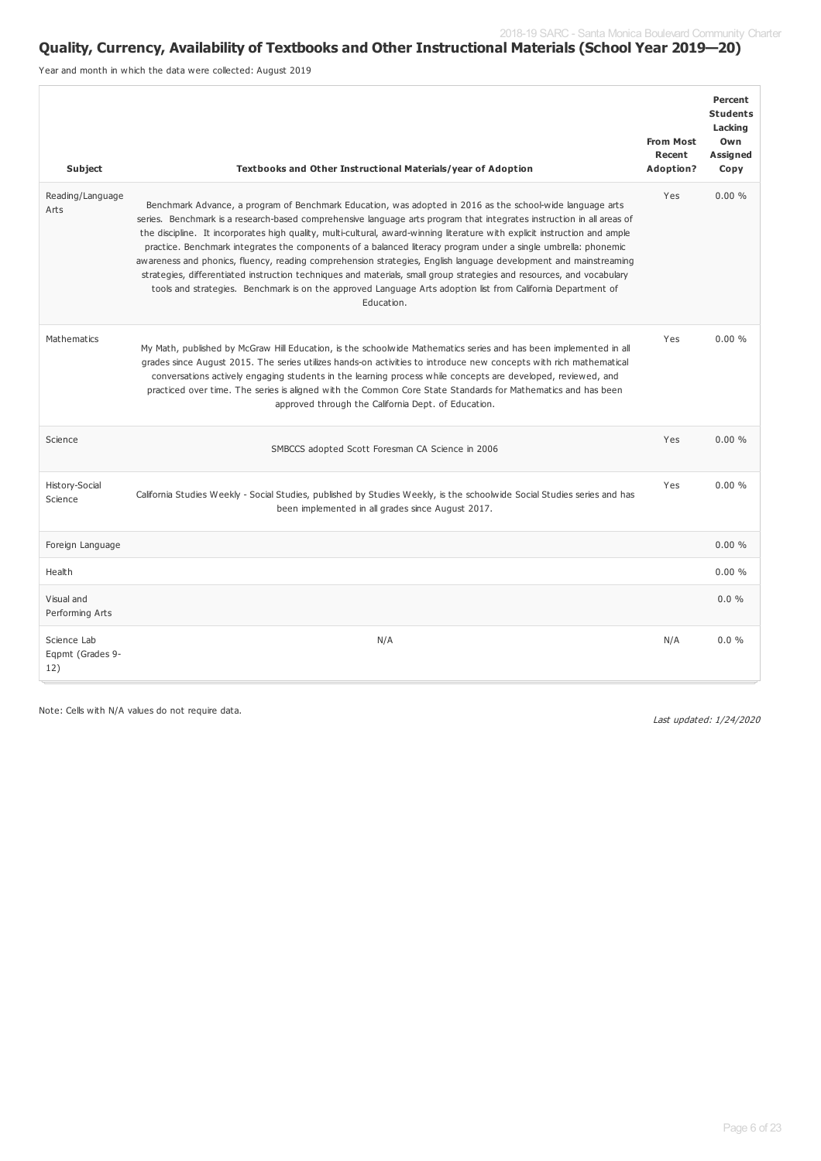## **Quality, Currency, Availability of Textbooks and Other Instructional Materials (School Year 2019—20)**

Year and month in which the data were collected: August 2019

| <b>Subject</b>                         | <b>Textbooks and Other Instructional Materials/year of Adoption</b>                                                                                                                                                                                                                                                                                                                                                                                                                                                                                                                                                                                                                                                                                                                                                                                           | <b>From Most</b><br>Recent<br>Adoption? | Percent<br><b>Students</b><br>Lacking<br>Own<br><b>Assigned</b><br>Copy |
|----------------------------------------|---------------------------------------------------------------------------------------------------------------------------------------------------------------------------------------------------------------------------------------------------------------------------------------------------------------------------------------------------------------------------------------------------------------------------------------------------------------------------------------------------------------------------------------------------------------------------------------------------------------------------------------------------------------------------------------------------------------------------------------------------------------------------------------------------------------------------------------------------------------|-----------------------------------------|-------------------------------------------------------------------------|
| Reading/Language<br>Arts               | Benchmark Advance, a program of Benchmark Education, was adopted in 2016 as the school-wide language arts<br>series. Benchmark is a research-based comprehensive language arts program that integrates instruction in all areas of<br>the discipline. It incorporates high quality, multi-cultural, award-winning literature with explicit instruction and ample<br>practice. Benchmark integrates the components of a balanced literacy program under a single umbrella: phonemic<br>awareness and phonics, fluency, reading comprehension strategies, English language development and mainstreaming<br>strategies, differentiated instruction techniques and materials, small group strategies and resources, and vocabulary<br>tools and strategies. Benchmark is on the approved Language Arts adoption list from California Department of<br>Education. | Yes                                     | 0.00%                                                                   |
| Mathematics                            | My Math, published by McGraw Hill Education, is the schoolwide Mathematics series and has been implemented in all<br>grades since August 2015. The series utilizes hands-on activities to introduce new concepts with rich mathematical<br>conversations actively engaging students in the learning process while concepts are developed, reviewed, and<br>practiced over time. The series is aligned with the Common Core State Standards for Mathematics and has been<br>approved through the California Dept. of Education.                                                                                                                                                                                                                                                                                                                                | Yes                                     | 0.00%                                                                   |
| Science                                | SMBCCS adopted Scott Foresman CA Science in 2006                                                                                                                                                                                                                                                                                                                                                                                                                                                                                                                                                                                                                                                                                                                                                                                                              | Yes                                     | 0.00%                                                                   |
| History-Social<br>Science              | California Studies Weekly - Social Studies, published by Studies Weekly, is the schoolwide Social Studies series and has<br>been implemented in all grades since August 2017.                                                                                                                                                                                                                                                                                                                                                                                                                                                                                                                                                                                                                                                                                 | Yes                                     | 0.00%                                                                   |
| Foreign Language                       |                                                                                                                                                                                                                                                                                                                                                                                                                                                                                                                                                                                                                                                                                                                                                                                                                                                               |                                         | 0.00%                                                                   |
| Health                                 |                                                                                                                                                                                                                                                                                                                                                                                                                                                                                                                                                                                                                                                                                                                                                                                                                                                               |                                         | 0.00%                                                                   |
| Visual and<br>Performing Arts          |                                                                                                                                                                                                                                                                                                                                                                                                                                                                                                                                                                                                                                                                                                                                                                                                                                                               |                                         | 0.0%                                                                    |
| Science Lab<br>Eqpmt (Grades 9-<br>12) | N/A                                                                                                                                                                                                                                                                                                                                                                                                                                                                                                                                                                                                                                                                                                                                                                                                                                                           | N/A                                     | 0.0%                                                                    |

Note: Cells with N/A values do not require data.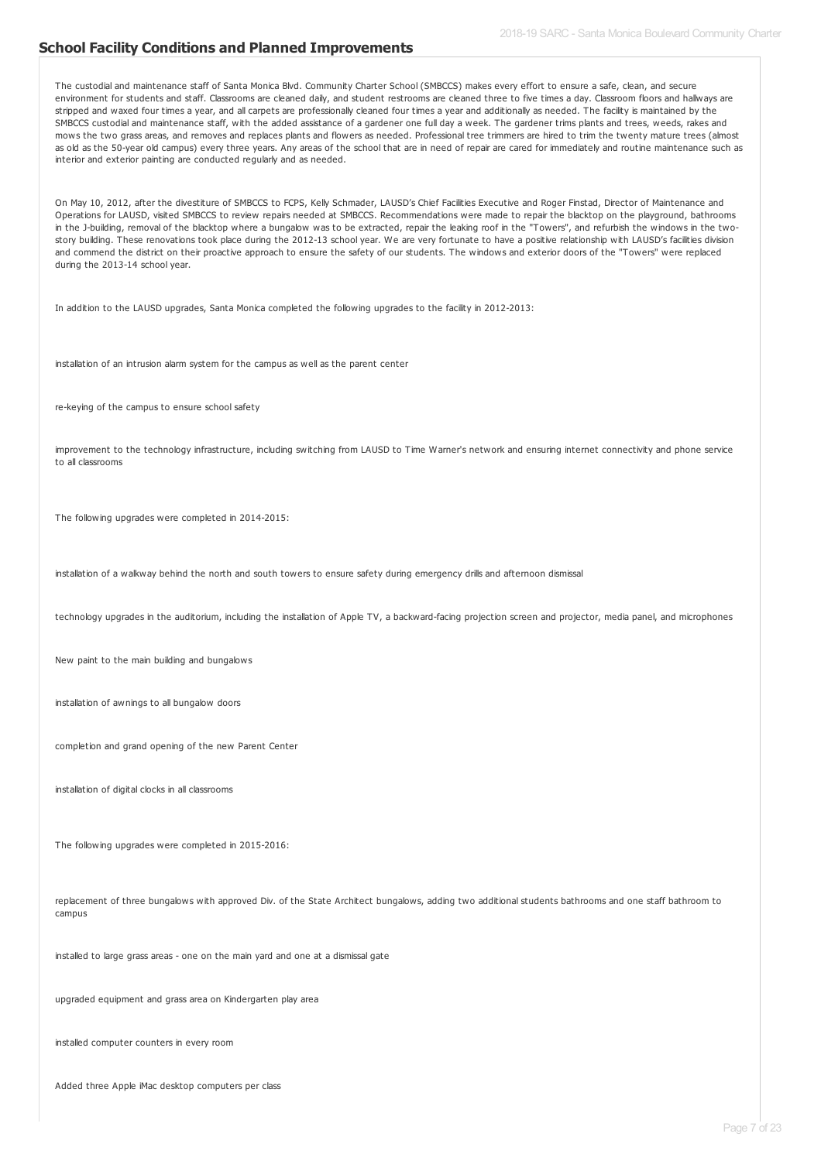### **School Facility Conditions and Planned Improvements**

The custodial and maintenance staff of Santa Monica Blvd. Community Charter School (SMBCCS) makes every effort to ensure a safe, clean, and secure environment for students and staff. Classrooms are cleaned daily, and student restrooms are cleaned three to five times a day. Classroom floors and hallways are stripped and waxed four times a year, and all carpets are professionally cleaned four times a year and additionally as needed. The facility is maintained by the SMBCCS custodial and maintenance staff, with the added assistance of a gardener one full day a week. The gardener trims plants and trees, weeds, rakes and mows the two grass areas, and removes and replaces plants and flowers as needed. Professional tree trimmers are hired to trim the twenty mature trees (almost as old as the 50-year old campus) every three years. Any areas of the school that are in need of repair are cared for immediately and routine maintenance such as interior and exterior painting are conducted regularly and as needed.

On May 10, 2012, after the divestiture of SMBCCS to FCPS, Kelly Schmader, LAUSD's Chief Facilities Executive and Roger Finstad, Director of Maintenance and Operations for LAUSD, visited SMBCCS to review repairs needed at SMBCCS. Recommendations were made to repair the blacktop on the playground, bathrooms in the J-building, removal of the blacktop where a bungalow was to be extracted, repair the leaking roof in the "Towers", and refurbish the windows in the twostory building. These renovations took place during the 2012-13 school year. We are very fortunate to have a positive relationship with LAUSD's facilities division and commend the district on their proactive approach to ensure the safety of our students. The windows and exterior doors of the "Towers" were replaced during the 2013-14 school year.

In addition to the LAUSD upgrades, Santa Monica completed the following upgrades to the facility in 2012-2013:

installation of an intrusion alarm system for the campus as well as the parent center

re-keying of the campus to ensure school safety

improvement to the technology infrastructure, including switching from LAUSD to Time Warner's network and ensuring internet connectivity and phone service to all classrooms

The following upgrades were completed in 2014-2015:

installation of a walkway behind the north and south towers to ensure safety during emergency drills and afternoon dismissal

technology upgrades in the auditorium, including the installation of Apple TV, a backward-facing projection screen and projector, media panel, and microphones

New paint to the main building and bungalows

installation of awnings to all bungalow doors

completion and grand opening of the new Parent Center

installation of digital clocks in all classrooms

The following upgrades were completed in 2015-2016:

replacement of three bungalows with approved Div. of the State Architect bungalows, adding two additional students bathrooms and one staff bathroom to campus

installed to large grass areas - one on the main yard and one at a dismissal gate

upgraded equipment and grass area on Kindergarten play area

installed computer counters in every room

Added three Apple iMac desktop computers per class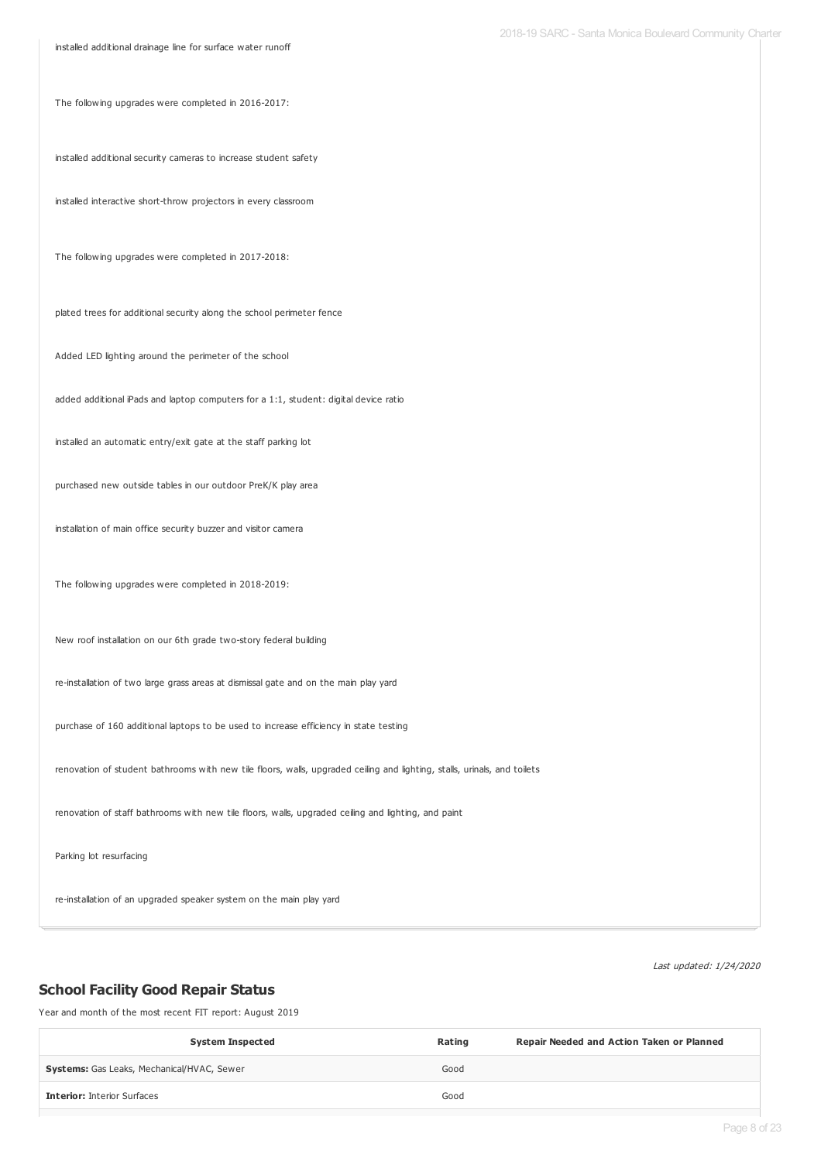The following upgrades were completed in 2016-2017:

installed additional security cameras to increase student safety

installed interactive short-throw projectors in every classroom

The following upgrades were completed in 2017-2018:

plated trees for additional security along the school perimeter fence

Added LED lighting around the perimeter of the school

added additional iPads and laptop computers for a 1:1, student: digital device ratio

installed an automatic entry/exit gate at the staff parking lot

purchased new outside tables in our outdoor PreK/K play area

installation of main office security buzzer and visitor camera

The following upgrades were completed in 2018-2019:

New roof installation on our 6th grade two-story federal building

re-installation of two large grass areas at dismissal gate and on the main play yard

purchase of 160 additional laptops to be used to increase efficiency in state testing

renovation of student bathrooms with new tile floors, walls, upgraded ceiling and lighting, stalls, urinals, and toilets

renovation of staff bathrooms with new tile floors, walls, upgraded ceiling and lighting, and paint

Parking lot resurfacing

re-installation of an upgraded speaker system on the main play yard

#### Last updated: 1/24/2020

## **School Facility Good Repair Status**

Year and month of the most recent FIT report: August 2019

| <b>System Inspected</b>                    | Rating | Repair Needed and Action Taken or Planned |
|--------------------------------------------|--------|-------------------------------------------|
| Systems: Gas Leaks, Mechanical/HVAC, Sewer | Good   |                                           |
| <b>Interior:</b> Interior Surfaces         | Good   |                                           |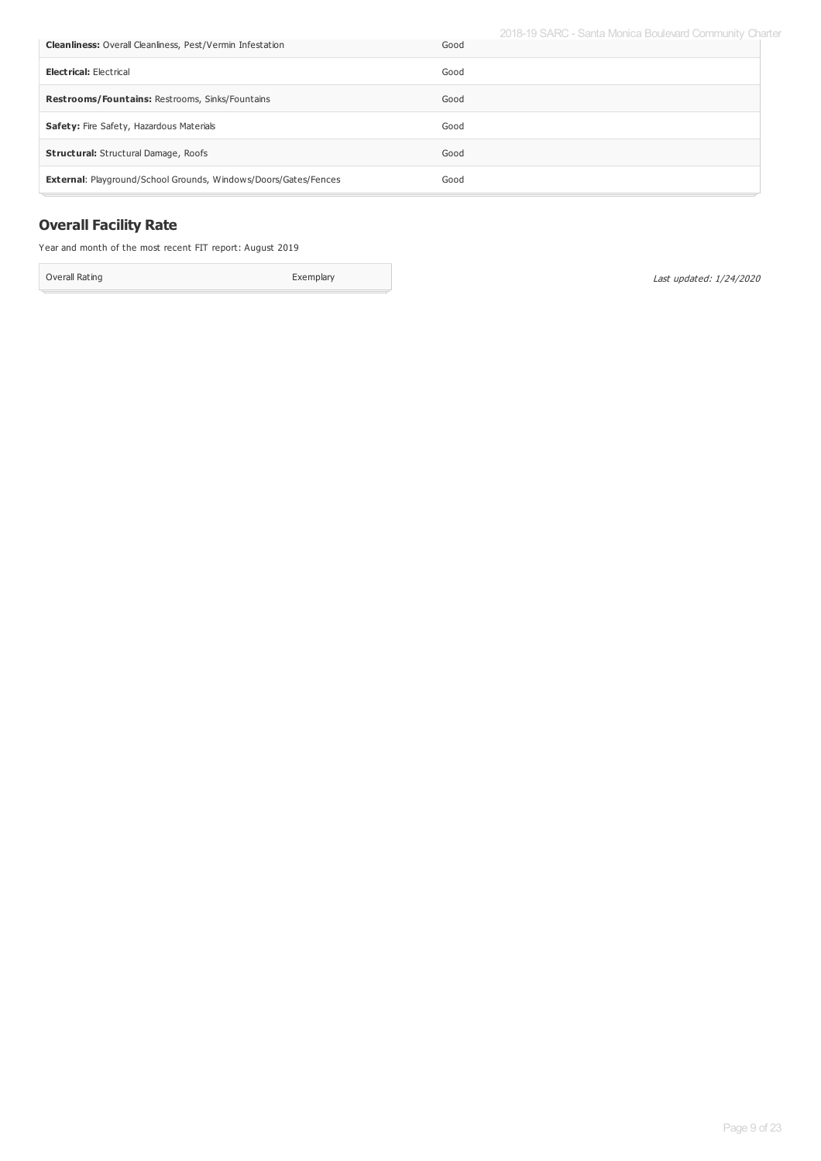| <b>Cleanliness:</b> Overall Cleanliness, Pest/Vermin Infestation       | Good | 2018-19 SARC - Santa Monica Boulevard Community Charter |
|------------------------------------------------------------------------|------|---------------------------------------------------------|
| <b>Electrical: Electrical</b>                                          | Good |                                                         |
| <b>Restrooms/Fountains: Restrooms, Sinks/Fountains</b>                 | Good |                                                         |
| Safety: Fire Safety, Hazardous Materials                               | Good |                                                         |
| <b>Structural: Structural Damage, Roofs</b>                            | Good |                                                         |
| <b>External: Playground/School Grounds, Windows/Doors/Gates/Fences</b> | Good |                                                         |

## **Overall Facility Rate**

Year and month of the most recent FIT report: August 2019

Overall Rating **Exemplary**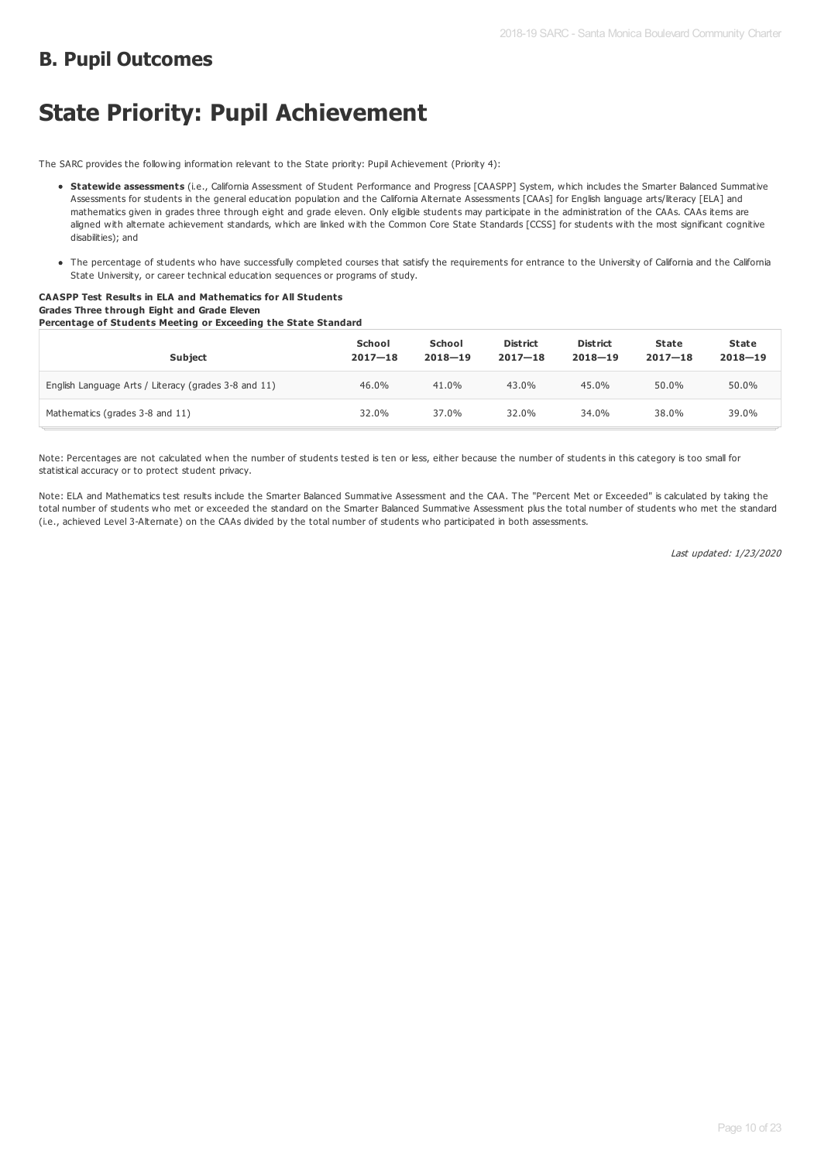## **B. Pupil Outcomes**

# **State Priority: Pupil Achievement**

The SARC provides the following information relevant to the State priority: Pupil Achievement (Priority 4):

- **Statewide assessments** (i.e., California Assessment of Student Performance and Progress [CAASPP] System, which includes the Smarter Balanced Summative Assessments for students in the general education population and the California Alternate Assessments [CAAs] for English language arts/literacy [ELA] and mathematics given in grades three through eight and grade eleven. Only eligible students may participate in the administration of the CAAs. CAAs items are aligned with alternate achievement standards, which are linked with the Common Core State Standards [CCSS] for students with the most significant cognitive disabilities); and
- The percentage of students who have successfully completed courses that satisfy the requirements for entrance to the University of California and the California State University, or career technical education sequences or programs of study.

#### **CAASPP Test Results in ELA and Mathematics for All Students Grades Three through Eight and Grade Eleven Percentage of Students Meeting or Exceeding the State Standard**

| <b>Subject</b>                                       | School<br>$2017 - 18$ | School<br>$2018 - 19$ | <b>District</b><br>$2017 - 18$ | <b>District</b><br>$2018 - 19$ | State<br>$2017 - 18$ | State<br>$2018 - 19$ |
|------------------------------------------------------|-----------------------|-----------------------|--------------------------------|--------------------------------|----------------------|----------------------|
| English Language Arts / Literacy (grades 3-8 and 11) | 46.0%                 | 41.0%                 | 43.0%                          | 45.0%                          | 50.0%                | 50.0%                |
| Mathematics (grades 3-8 and 11)                      | 32.0%                 | 37.0%                 | 32.0%                          | 34.0%                          | 38.0%                | 39.0%                |

Note: Percentages are not calculated when the number of students tested is ten or less, either because the number of students in this category is too small for statistical accuracy or to protect student privacy.

Note: ELA and Mathematics test results include the Smarter Balanced Summative Assessment and the CAA. The "Percent Met or Exceeded" is calculated by taking the total number of students who met or exceeded the standard on the Smarter Balanced Summative Assessment plus the total number of students who met the standard (i.e., achieved Level 3-Alternate) on the CAAs divided by the total number of students who participated in both assessments.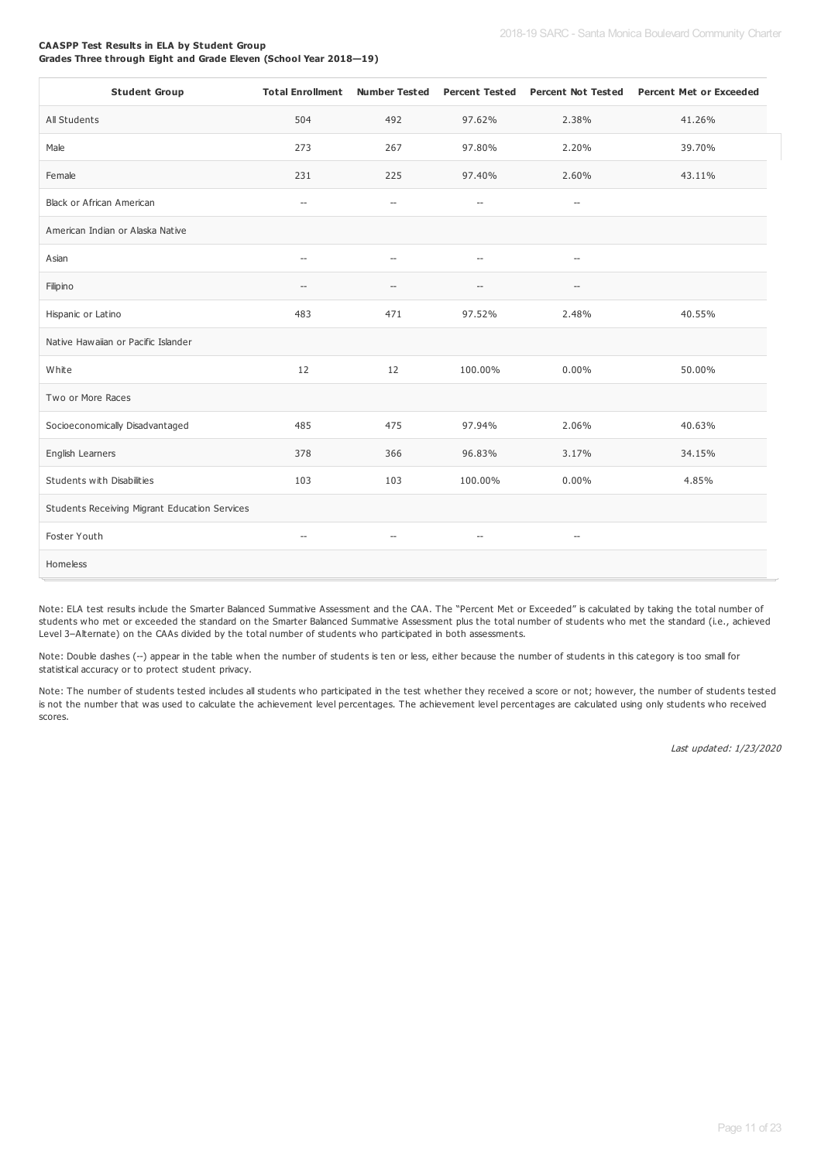#### **CAASPP Test Results in ELA by Student Group Grades Three through Eight and Grade Eleven (School Year 2018—19)**

| <b>Student Group</b>                          | <b>Total Enrollment</b>            | <b>Number Tested</b>     | <b>Percent Tested</b>    |                                                     | Percent Not Tested  Percent Met or Exceeded |
|-----------------------------------------------|------------------------------------|--------------------------|--------------------------|-----------------------------------------------------|---------------------------------------------|
| All Students                                  | 504                                | 492                      | 97.62%                   | 2.38%                                               | 41.26%                                      |
| Male                                          | 273                                | 267                      | 97.80%                   | 2.20%                                               | 39.70%                                      |
| Female                                        | 231                                | 225                      | 97.40%                   | 2.60%                                               | 43.11%                                      |
| Black or African American                     | $\hspace{0.05cm} -\hspace{0.05cm}$ | $\overline{\phantom{a}}$ | $\overline{\phantom{a}}$ | $\overline{\phantom{a}}$                            |                                             |
| American Indian or Alaska Native              |                                    |                          |                          |                                                     |                                             |
| Asian                                         | $\hspace{0.05cm} -\hspace{0.05cm}$ | $\overline{\phantom{a}}$ | $\overline{\phantom{a}}$ | $\overline{\phantom{a}}$                            |                                             |
| Filipino                                      | $\overline{\phantom{a}}$           | $\overline{\phantom{a}}$ | $\overline{\phantom{0}}$ | $\hspace{0.05cm} -\hspace{0.05cm} -\hspace{0.05cm}$ |                                             |
| Hispanic or Latino                            | 483                                | 471                      | 97.52%                   | 2.48%                                               | 40.55%                                      |
| Native Hawaiian or Pacific Islander           |                                    |                          |                          |                                                     |                                             |
| White                                         | 12                                 | 12                       | 100.00%                  | $0.00\%$                                            | 50.00%                                      |
| Two or More Races                             |                                    |                          |                          |                                                     |                                             |
| Socioeconomically Disadvantaged               | 485                                | 475                      | 97.94%                   | 2.06%                                               | 40.63%                                      |
| English Learners                              | 378                                | 366                      | 96.83%                   | 3.17%                                               | 34.15%                                      |
| Students with Disabilities                    | 103                                | 103                      | 100.00%                  | $0.00\%$                                            | 4.85%                                       |
| Students Receiving Migrant Education Services |                                    |                          |                          |                                                     |                                             |
| Foster Youth                                  | $\overline{\phantom{a}}$           | $\overline{\phantom{a}}$ | $\hspace{0.05cm} \ldots$ | $\hspace{0.05cm} -\hspace{0.05cm} -\hspace{0.05cm}$ |                                             |
| Homeless                                      |                                    |                          |                          |                                                     |                                             |

Note: ELA test results include the Smarter Balanced Summative Assessment and the CAA. The "Percent Met or Exceeded" is calculated by taking the total number of students who met or exceeded the standard on the Smarter Balanced Summative Assessment plus the total number of students who met the standard (i.e., achieved Level 3-Alternate) on the CAAs divided by the total number of students who participated in both assessments.

Note: Double dashes (--) appear in the table when the number of students is ten or less, either because the number of students in this category is too small for statistical accuracy or to protect student privacy.

Note: The number of students tested includes all students who participated in the test whether they received a score or not; however, the number of students tested is not the number that was used to calculate the achievement level percentages. The achievement level percentages are calculated using only students who received scores.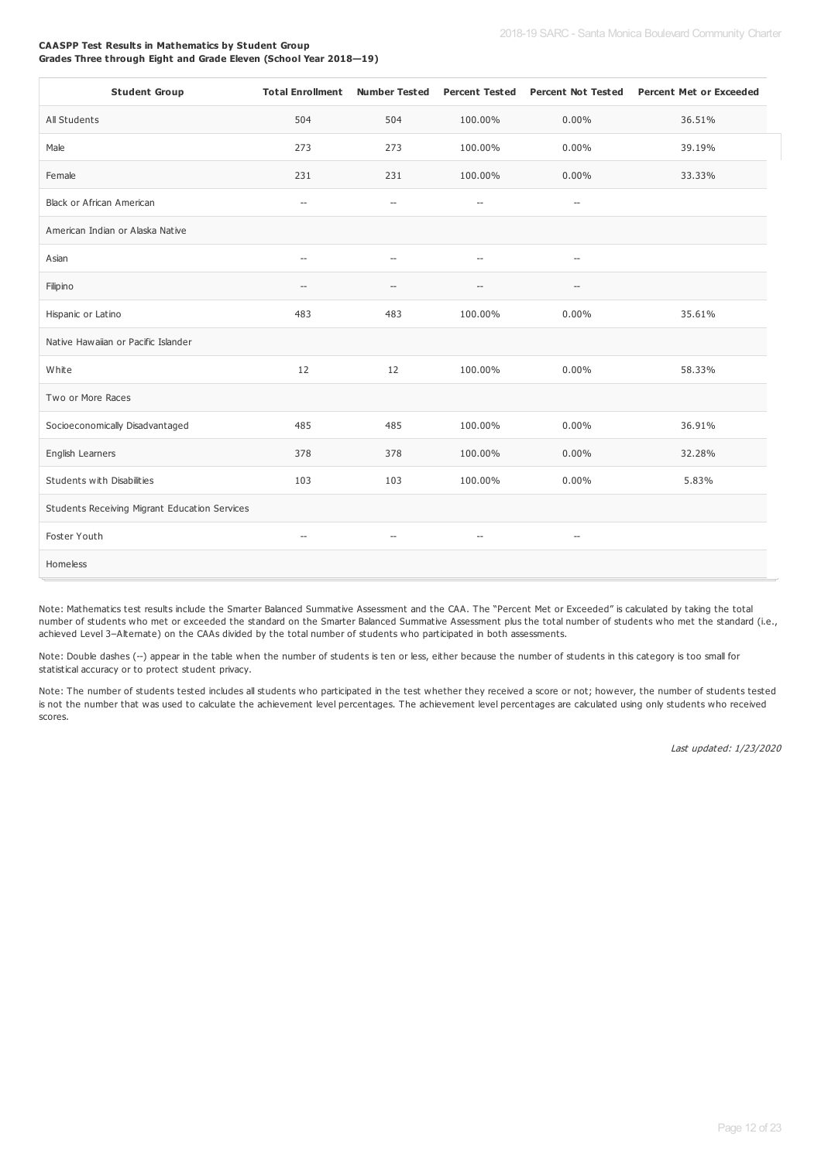#### **CAASPP Test Results in Mathematics by Student Group Grades Three through Eight and Grade Eleven (School Year 2018—19)**

| <b>Student Group</b>                          | Total Enrollment Number Tested Percent Tested |                                                     |                          |                                                     | Percent Not Tested  Percent Met or Exceeded |
|-----------------------------------------------|-----------------------------------------------|-----------------------------------------------------|--------------------------|-----------------------------------------------------|---------------------------------------------|
| All Students                                  | 504                                           | 504                                                 | 100.00%                  | $0.00\%$                                            | 36.51%                                      |
| Male                                          | 273                                           | 273                                                 | 100.00%                  | $0.00\%$                                            | 39.19%                                      |
| Female                                        | 231                                           | 231                                                 | 100.00%                  | $0.00\%$                                            | 33.33%                                      |
| <b>Black or African American</b>              | $\hspace{0.05cm} \ldots$                      | $\hspace{0.05cm} -\hspace{0.05cm} -\hspace{0.05cm}$ | $\hspace{0.05cm} \ldots$ | $\hspace{0.05cm} -\hspace{0.05cm} -\hspace{0.05cm}$ |                                             |
| American Indian or Alaska Native              |                                               |                                                     |                          |                                                     |                                             |
| Asian                                         | $\hspace{0.05cm} -$                           | $\hspace{0.05cm} -\hspace{0.05cm} -\hspace{0.05cm}$ | $\hspace{0.05cm} \ldots$ | $-\hbox{--}$                                        |                                             |
| Filipino                                      | $\overline{\phantom{a}}$                      | $\overline{\phantom{a}}$                            | --                       | $\hspace{0.05cm} -\hspace{0.05cm} -\hspace{0.05cm}$ |                                             |
| Hispanic or Latino                            | 483                                           | 483                                                 | 100.00%                  | $0.00\%$                                            | 35.61%                                      |
| Native Hawaiian or Pacific Islander           |                                               |                                                     |                          |                                                     |                                             |
| White                                         | 12                                            | 12                                                  | 100.00%                  | $0.00\%$                                            | 58.33%                                      |
| Two or More Races                             |                                               |                                                     |                          |                                                     |                                             |
| Socioeconomically Disadvantaged               | 485                                           | 485                                                 | 100.00%                  | $0.00\%$                                            | 36.91%                                      |
| English Learners                              | 378                                           | 378                                                 | 100.00%                  | $0.00\%$                                            | 32.28%                                      |
| Students with Disabilities                    | 103                                           | 103                                                 | 100.00%                  | $0.00\%$                                            | 5.83%                                       |
| Students Receiving Migrant Education Services |                                               |                                                     |                          |                                                     |                                             |
| Foster Youth                                  | $\hspace{0.05cm} -\hspace{0.05cm}$            | $\overline{\phantom{a}}$                            | $\hspace{0.05cm} \ldots$ | $\hspace{0.05cm} -\hspace{0.05cm} -\hspace{0.05cm}$ |                                             |
| Homeless                                      |                                               |                                                     |                          |                                                     |                                             |

Note: Mathematics test results include the Smarter Balanced Summative Assessment and the CAA. The "Percent Met or Exceeded" is calculated by taking the total number of students who met or exceeded the standard on the Smarter Balanced Summative Assessment plus the total number of students who met the standard (i.e., achieved Level 3–Alternate) on the CAAs divided by the total number of students who participated in both assessments.

Note: Double dashes (--) appear in the table when the number of students is ten or less, either because the number of students in this category is too small for statistical accuracy or to protect student privacy.

Note: The number of students tested includes all students who participated in the test whether they received a score or not; however, the number of students tested is not the number that was used to calculate the achievement level percentages. The achievement level percentages are calculated using only students who received scores.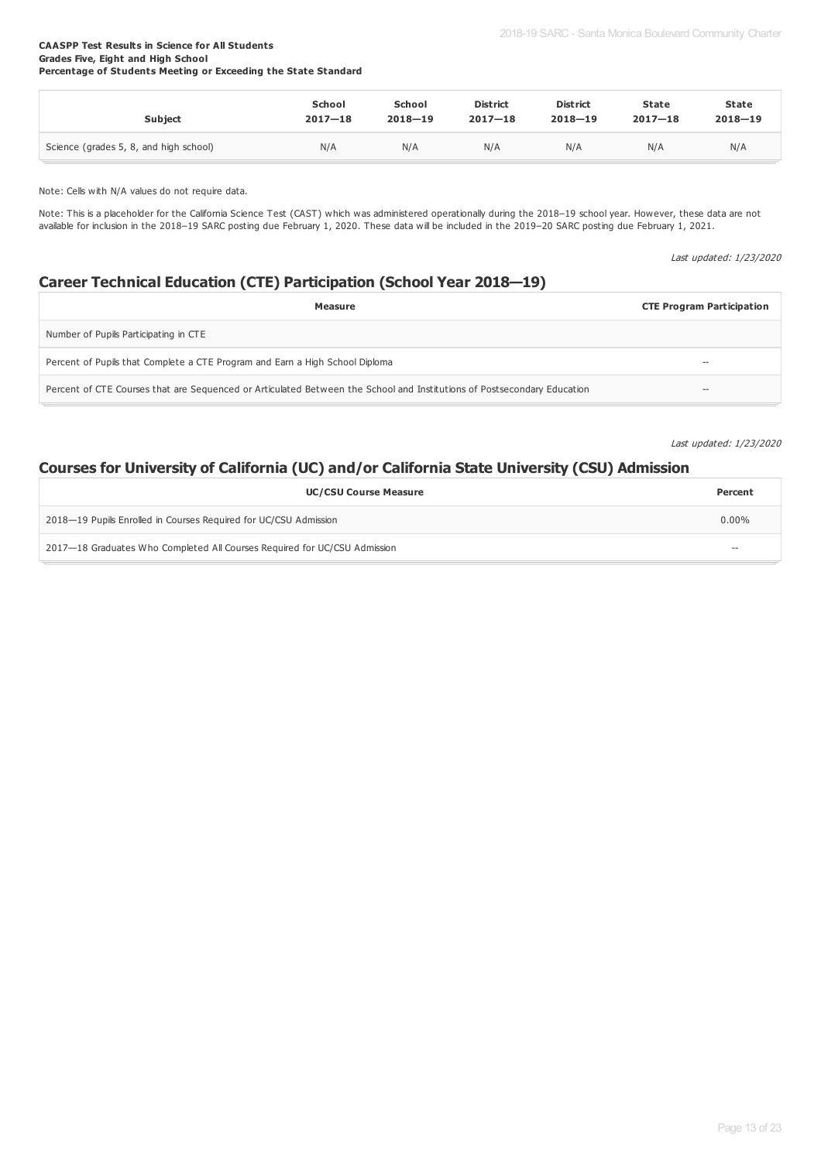#### **CAASPP Test Results in Science for All Students Grades Five, Eight and High School Percentage of Students Meeting or Exceeding the State Standard**

| <b>Subject</b>                         | School      | School      | <b>District</b> | <b>District</b> | <b>State</b> | <b>State</b> |
|----------------------------------------|-------------|-------------|-----------------|-----------------|--------------|--------------|
|                                        | $2017 - 18$ | $2018 - 19$ | $2017 - 18$     | $2018 - 19$     | $2017 - 18$  | $2018 - 19$  |
| Science (grades 5, 8, and high school) | N/A         | N/A         | N/A             | N/A             | N/A          | N/A          |

#### Note: Cells with N/A values do not require data.

Note: This is a placeholder for the California Science Test (CAST) which was administered operationally during the 2018–19 school year. However, these data are not available for inclusion in the 2018–19 SARC posting due February 1, 2020. These data will be included in the 2019–20 SARC posting due February 1, 2021.

Last updated: 1/23/2020

## **Career Technical Education (CTE) Participation (School Year 2018—19)**

| <b>Measure</b>                                                                                                          | <b>CTE Program Participation</b> |
|-------------------------------------------------------------------------------------------------------------------------|----------------------------------|
| Number of Pupils Participating in CTE                                                                                   |                                  |
| Percent of Pupils that Complete a CTE Program and Earn a High School Diploma                                            | --                               |
| Percent of CTE Courses that are Sequenced or Articulated Between the School and Institutions of Postsecondary Education | $\hspace{0.05cm}$                |

Last updated: 1/23/2020

## **Courses for University of California (UC) and/or California State University (CSU) Admission**

| <b>UC/CSU Course Measure</b>                                              | Percent  |
|---------------------------------------------------------------------------|----------|
| 2018–19 Pupils Enrolled in Courses Required for UC/CSU Admission          | $0.00\%$ |
| 2017-18 Graduates Who Completed All Courses Required for UC/CSU Admission | --       |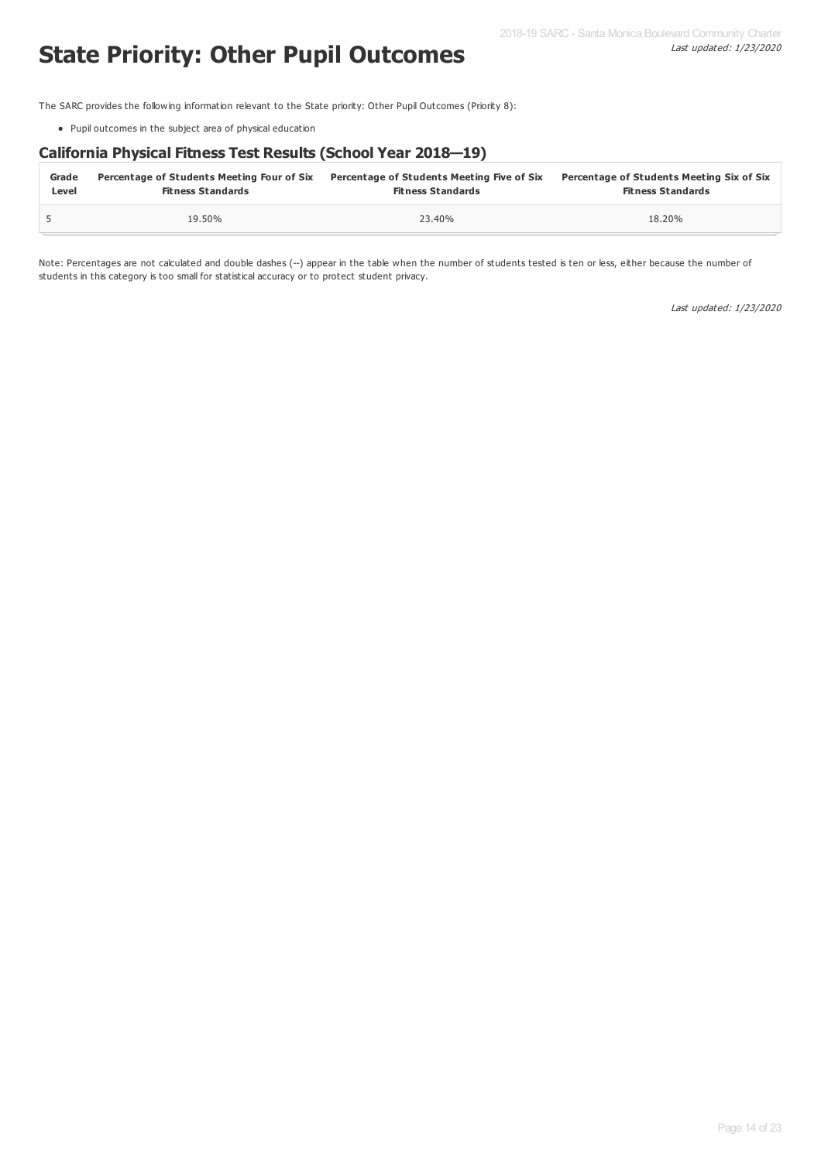# **State Priority: Other Pupil Outcomes**

The SARC provides the following information relevant to the State priority: Other Pupil Outcomes (Priority 8):

Pupil outcomes in the subject area of physical education

## **California Physical Fitness Test Results (School Year 2018—19)**

| Grade | Percentage of Students Meeting Four of Six | Percentage of Students Meeting Five of Six | Percentage of Students Meeting Six of Six |
|-------|--------------------------------------------|--------------------------------------------|-------------------------------------------|
| Level | <b>Fitness Standards</b>                   | <b>Fitness Standards</b>                   | <b>Fitness Standards</b>                  |
|       | 19.50%                                     | 23.40%                                     | 18.20%                                    |

Note: Percentages are not calculated and double dashes (--) appear in the table when the number of students tested is ten or less, either because the number of students in this category is too small for statistical accuracy or to protect student privacy.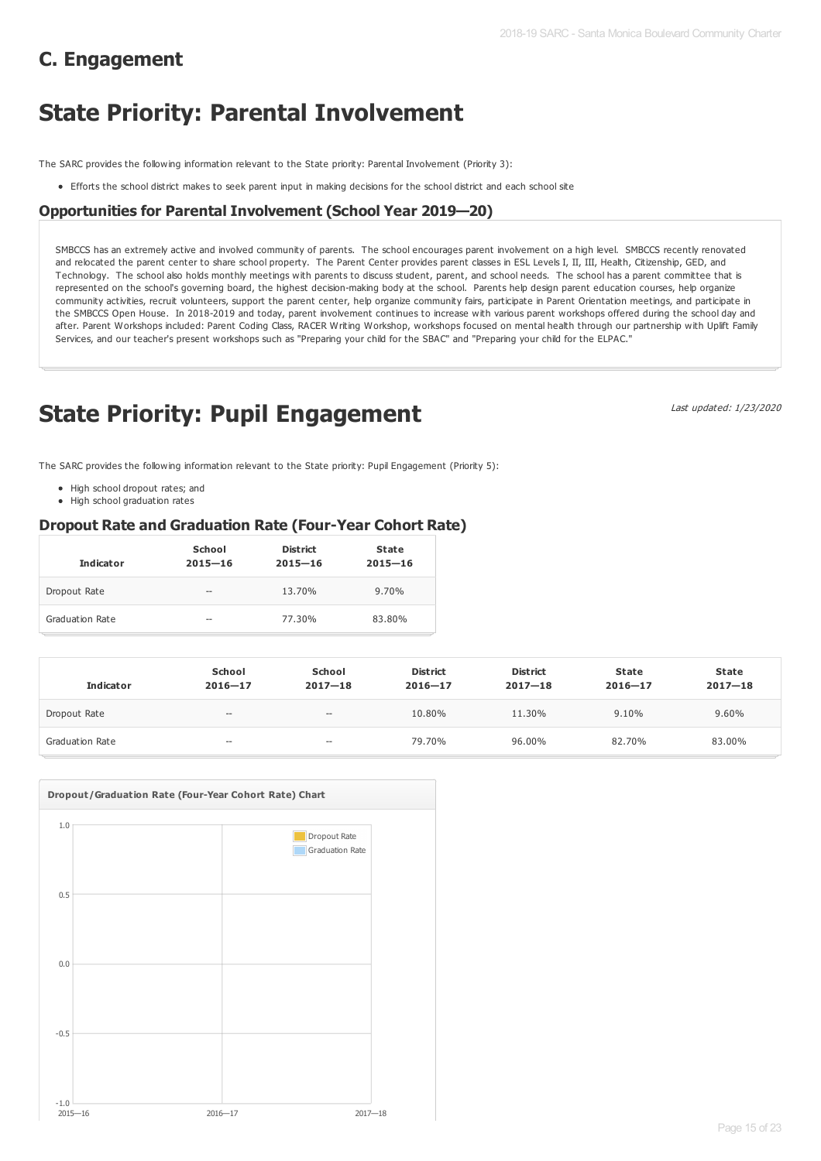## **C. Engagement**

# **State Priority: Parental Involvement**

The SARC provides the following information relevant to the State priority: Parental Involvement (Priority 3):

Efforts the school district makes to seek parent input in making decisions for the school district and each school site

### **Opportunities for Parental Involvement (School Year 2019—20)**

SMBCCS has an extremely active and involved community of parents. The school encourages parent involvement on a high level. SMBCCS recently renovated and relocated the parent center to share school property. The Parent Center provides parent classes in ESL Levels I, II, III, Health, Citizenship, GED, and Technology. The school also holds monthly meetings with parents to discuss student, parent, and school needs. The school has a parent committee that is represented on the school's governing board, the highest decision-making body at the school. Parents help design parent education courses, help organize community activities, recruit volunteers, support the parent center, help organize community fairs, participate in Parent Orientation meetings, and participate in the SMBCCS Open House. In 2018-2019 and today, parent involvement continues to increase with various parent workshops offered during the school day and after. Parent Workshops included: Parent Coding Class, RACER Writing Workshop, workshops focused on mental health through our partnership with Uplift Family Services, and our teacher's present workshops such as "Preparing your child for the SBAC" and "Preparing your child for the ELPAC."

# **State Priority: Pupil Engagement**

Last updated: 1/23/2020

The SARC provides the following information relevant to the State priority: Pupil Engagement (Priority 5):

- High school dropout rates; and
- High school graduation rates

## **Dropout Rate and Graduation Rate (Four-Year Cohort Rate)**

| <b>Indicator</b>       | School<br>$2015 - 16$ | <b>District</b><br>$2015 - 16$ | <b>State</b><br>$2015 - 16$ |
|------------------------|-----------------------|--------------------------------|-----------------------------|
| Dropout Rate           | $-$                   | 13.70%                         | $9.70\%$                    |
| <b>Graduation Rate</b> | $\sim$                | 77.30%                         | 83.80%                      |

| <b>Indicator</b>       | School<br>$2016 - 17$ | School<br>$2017 - 18$    | <b>District</b><br>$2016 - 17$ | <b>District</b><br>$2017 - 18$ | <b>State</b><br>$2016 - 17$ | <b>State</b><br>$2017 - 18$ |
|------------------------|-----------------------|--------------------------|--------------------------------|--------------------------------|-----------------------------|-----------------------------|
| Dropout Rate           | $- -$                 | $\qquad \qquad -$        | 10.80%                         | 11.30%                         | 9.10%                       | 9.60%                       |
| <b>Graduation Rate</b> | $- -$                 | $\overline{\phantom{m}}$ | 79.70%                         | 96.00%                         | 82.70%                      | 83.00%                      |

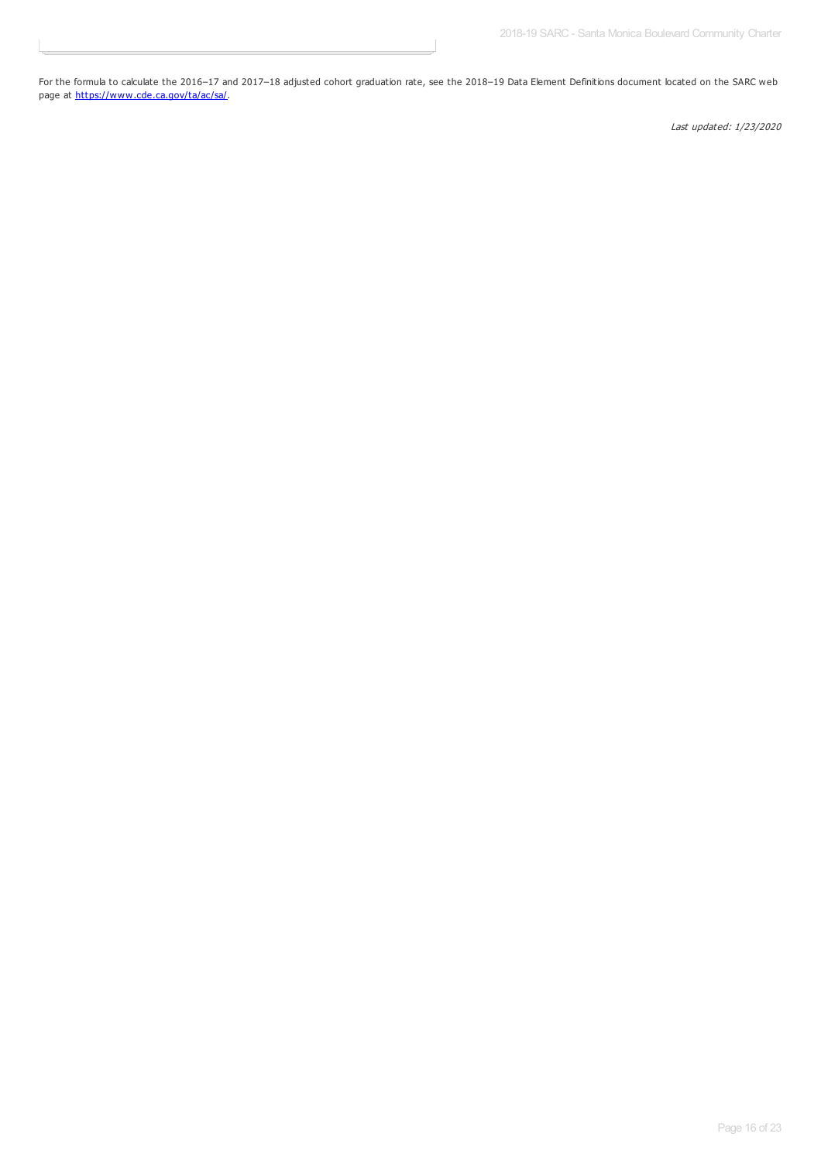For the formula to calculate the 2016–17 and 2017–18 adjusted cohort graduation rate, see the 2018–19 Data Element Definitions document located on the SARC web page at <https://www.cde.ca.gov/ta/ac/sa/>.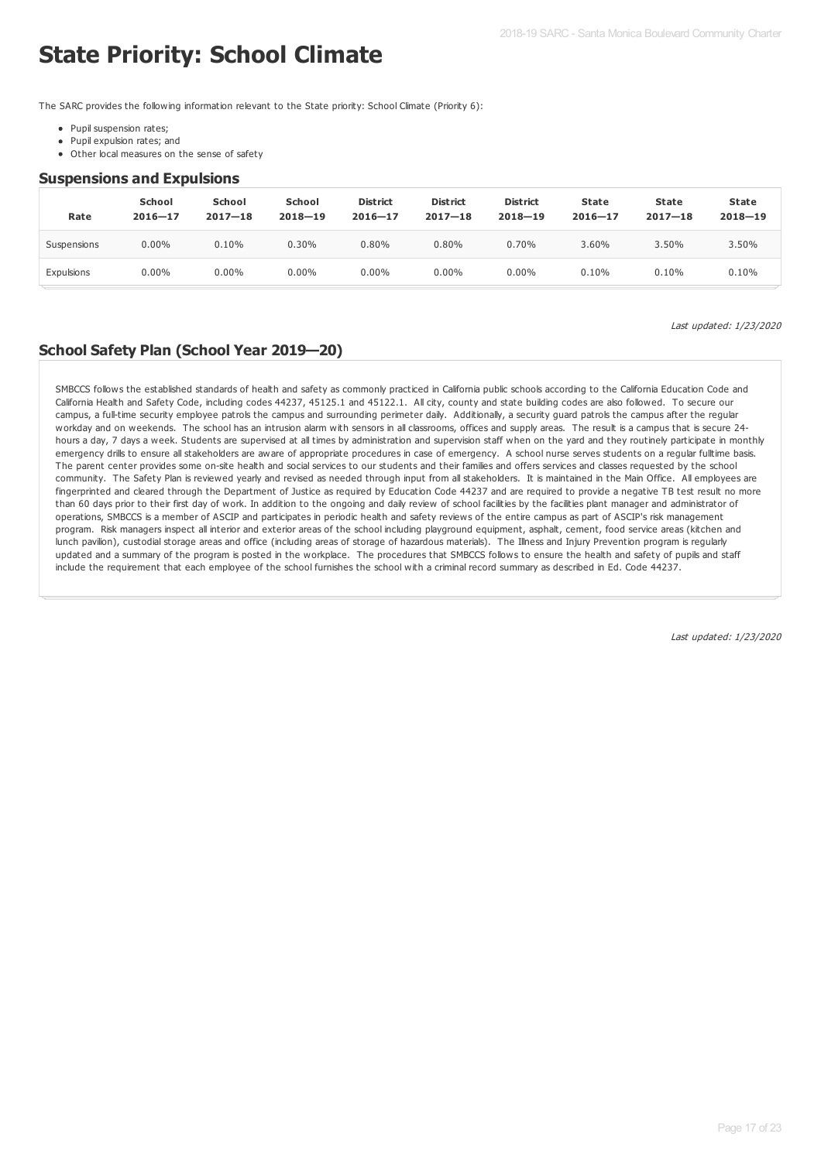# **State Priority: School Climate**

The SARC provides the following information relevant to the State priority: School Climate (Priority 6):

- Pupil suspension rates;
- Pupil expulsion rates; and
- Other local measures on the sense of safety

#### **Suspensions and Expulsions**

| Rate        | <b>School</b><br>$2016 - 17$ | School<br>$2017 - 18$ | <b>School</b><br>$2018 - 19$ | <b>District</b><br>$2016 - 17$ | <b>District</b><br>$2017 - 18$ | <b>District</b><br>$2018 - 19$ | State<br>$2016 - 17$ | <b>State</b><br>$2017 - 18$ | <b>State</b><br>$2018 - 19$ |
|-------------|------------------------------|-----------------------|------------------------------|--------------------------------|--------------------------------|--------------------------------|----------------------|-----------------------------|-----------------------------|
| Suspensions | $0.00\%$                     | 0.10%                 | 0.30%                        | 0.80%                          | 0.80%                          | 0.70%                          | 3.60%                | 3.50%                       | 3.50%                       |
| Expulsions  | $0.00\%$                     | $0.00\%$              | $0.00\%$                     | $0.00\%$                       | $0.00\%$                       | $0.00\%$                       | 0.10%                | 0.10%                       | 0.10%                       |

Last updated: 1/23/2020

### **School Safety Plan (School Year 2019—20)**

SMBCCS follows the established standards of health and safety as commonly practiced in California public schools according to the California Education Code and California Health and Safety Code, including codes 44237, 45125.1 and 45122.1. All city, county and state building codes are also followed. To secure our campus, a full-time security employee patrols the campus and surrounding perimeter daily. Additionally, a security guard patrols the campus after the regular workday and on weekends. The school has an intrusion alarm with sensors in all classrooms, offices and supply areas. The result is a campus that is secure 24 hours a day, 7 days a week. Students are supervised at all times by administration and supervision staff when on the yard and they routinely participate in monthly emergency drills to ensure all stakeholders are aware of appropriate procedures in case of emergency. A school nurse serves students on a regular fulltime basis. The parent center provides some on-site health and social services to our students and their families and offers services and classes requested by the school community. The Safety Plan is reviewed yearly and revised as needed through input from all stakeholders. It is maintained in the Main Office. All employees are fingerprinted and cleared through the Department of Justice as required by Education Code 44237 and are required to provide a negative TB test result no more than 60 days prior to their first day of work. In addition to the ongoing and daily review of school facilities by the facilities plant manager and administrator of operations, SMBCCS is a member of ASCIP and participates in periodic health and safety reviews of the entire campus as part of ASCIP's risk management program. Risk managers inspect all interior and exterior areas of the school including playground equipment, asphalt, cement, food service areas (kitchen and lunch pavilion), custodial storage areas and office (including areas of storage of hazardous materials). The Illness and Injury Prevention program is regularly updated and a summary of the program is posted in the workplace. The procedures that SMBCCS follows to ensure the health and safety of pupils and staff include the requirement that each employee of the school furnishes the school with a criminal record summary as described in Ed. Code 44237.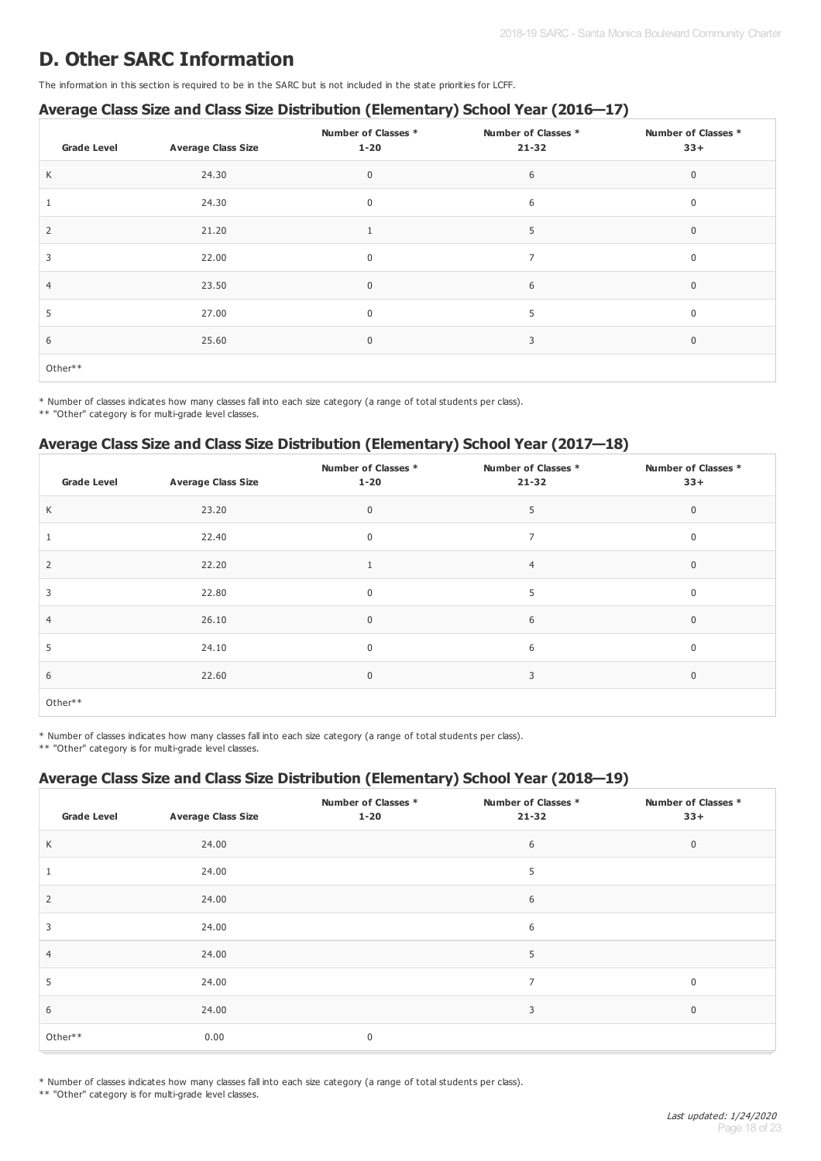## **D. Other SARC Information**

The information in this section is required to be in the SARC but is not included in the state priorities for LCFF.

## **Average Class Size and Class Size Distribution (Elementary) School Year (2016—17)**

| <b>Grade Level</b> | <b>Average Class Size</b> | Number of Classes *<br>$1 - 20$ | Number of Classes *<br>$21 - 32$ | Number of Classes *<br>$33+$ |
|--------------------|---------------------------|---------------------------------|----------------------------------|------------------------------|
| K                  | 24.30                     | $\mathbf 0$                     | 6                                | $\mathbf 0$                  |
|                    | 24.30                     | $\mathbf 0$                     | 6                                | 0                            |
| 2                  | 21.20                     | $\mathbf{1}$                    | 5                                | $\mathbf 0$                  |
| 3                  | 22.00                     | $\mathbf 0$                     | $\overline{7}$                   | $\mathbf 0$                  |
| 4                  | 23.50                     | $\mathsf 0$                     | 6                                | $\mathbf 0$                  |
| 5                  | 27.00                     | $\mathbf 0$                     | 5                                | $\mathbf 0$                  |
| 6                  | 25.60                     | $\mathbf 0$                     | 3                                | $\Omega$                     |
| Other**            |                           |                                 |                                  |                              |

\* Number of classes indicates how many classes fall into each size category (a range of total students per class).

\*\* "Other" category is for multi-grade level classes.

## **Average Class Size and Class Size Distribution (Elementary) School Year (2017—18)**

| <b>Grade Level</b> | <b>Average Class Size</b> | <b>Number of Classes *</b><br>$1 - 20$ | Number of Classes *<br>$21 - 32$ | <b>Number of Classes *</b><br>$33+$ |
|--------------------|---------------------------|----------------------------------------|----------------------------------|-------------------------------------|
| K                  | 23.20                     | $\mathbf 0$                            | 5                                | $\mathbf 0$                         |
|                    | 22.40                     | $\mathbf 0$                            | 7                                | $\mathbf 0$                         |
| $\overline{2}$     | 22.20                     |                                        | $\overline{4}$                   | $\mathbf 0$                         |
| 3                  | 22.80                     | $\mathbf{0}$                           | 5                                | $\Omega$                            |
| $\overline{4}$     | 26.10                     | $\mathbf 0$                            | 6                                | $\Omega$                            |
| כ                  | 24.10                     | $\mathbf 0$                            | 6                                | $\Omega$                            |
| 6                  | 22.60                     | $\mathbf 0$                            | 3                                | $\mathbf{0}$                        |
| Other**            |                           |                                        |                                  |                                     |

\* Number of classes indicates how many classes fall into each size category (a range of total students per class).

\*\* "Other" category is for multi-grade level classes.

## **Average Class Size and Class Size Distribution (Elementary) School Year (2018—19)**

| <b>Grade Level</b> | <b>Average Class Size</b> | Number of Classes *<br>$1 - 20$ | Number of Classes *<br>$21 - 32$ | Number of Classes *<br>$33+$ |
|--------------------|---------------------------|---------------------------------|----------------------------------|------------------------------|
| K                  | 24.00                     |                                 | 6                                | $\pmb{0}$                    |
|                    | 24.00                     |                                 | 5                                |                              |
| 2                  | 24.00                     |                                 | 6                                |                              |
| 3                  | 24.00                     |                                 | 6                                |                              |
| 4                  | 24.00                     |                                 | 5                                |                              |
| 5                  | 24.00                     |                                 | 7                                | $\mathbf 0$                  |
| 6                  | 24.00                     |                                 | 3                                | $\pmb{0}$                    |
| Other**            | 0.00                      | $\mathbf 0$                     |                                  |                              |

\* Number of classes indicates how many classes fall into each size category (a range of total students per class).

\*\* "Other" category is for multi-grade level classes.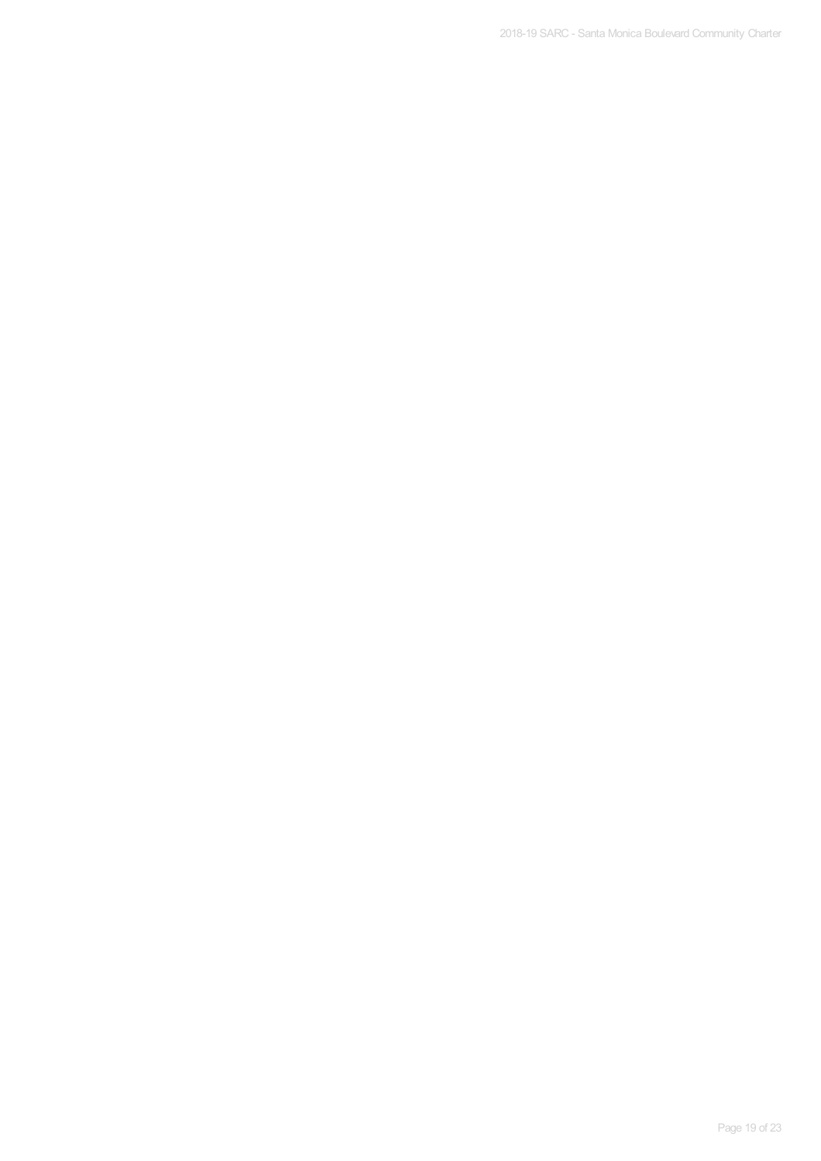2018-19 SARC - Santa Monica Boulevard Community Charter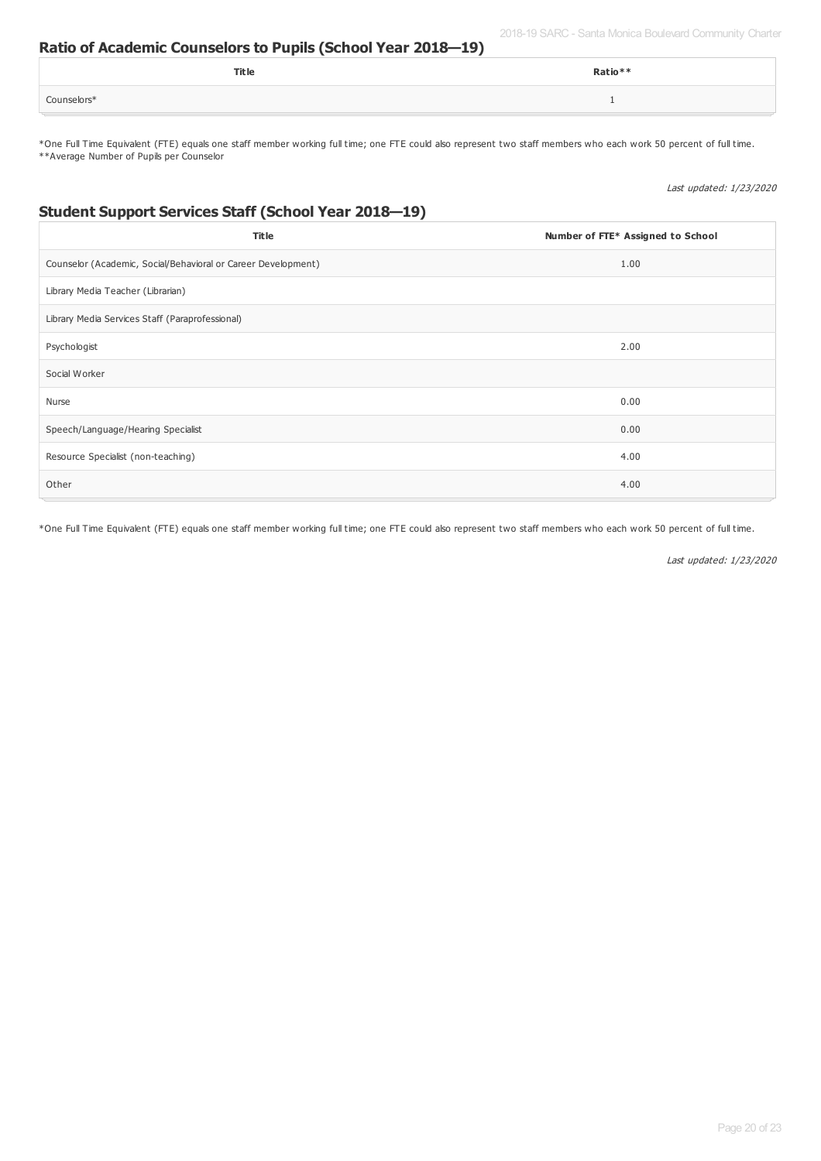2018-19 SARC - Santa Monica Boulevard Community Charter

## **Ratio of Academic Counselors to Pupils (School Year 2018—19)**

|             | <b>Title</b> | Ratio** |
|-------------|--------------|---------|
| Counselors* |              |         |

\*One Full Time Equivalent (FTE) equals one staff member working full time; one FTE could also represent two staff members who each work 50 percent of full time. \*\*Average Number of Pupils per Counselor

Last updated: 1/23/2020

## **Student Support Services Staff (School Year 2018—19)**

| <b>Title</b>                                                  | Number of FTE* Assigned to School |
|---------------------------------------------------------------|-----------------------------------|
| Counselor (Academic, Social/Behavioral or Career Development) | 1.00                              |
| Library Media Teacher (Librarian)                             |                                   |
| Library Media Services Staff (Paraprofessional)               |                                   |
| Psychologist                                                  | 2.00                              |
| Social Worker                                                 |                                   |
| Nurse                                                         | 0.00                              |
| Speech/Language/Hearing Specialist                            | 0.00                              |
| Resource Specialist (non-teaching)                            | 4.00                              |
| Other                                                         | 4.00                              |

\*One Full Time Equivalent (FTE) equals one staff member working full time; one FTE could also represent two staff members who each work 50 percent of full time.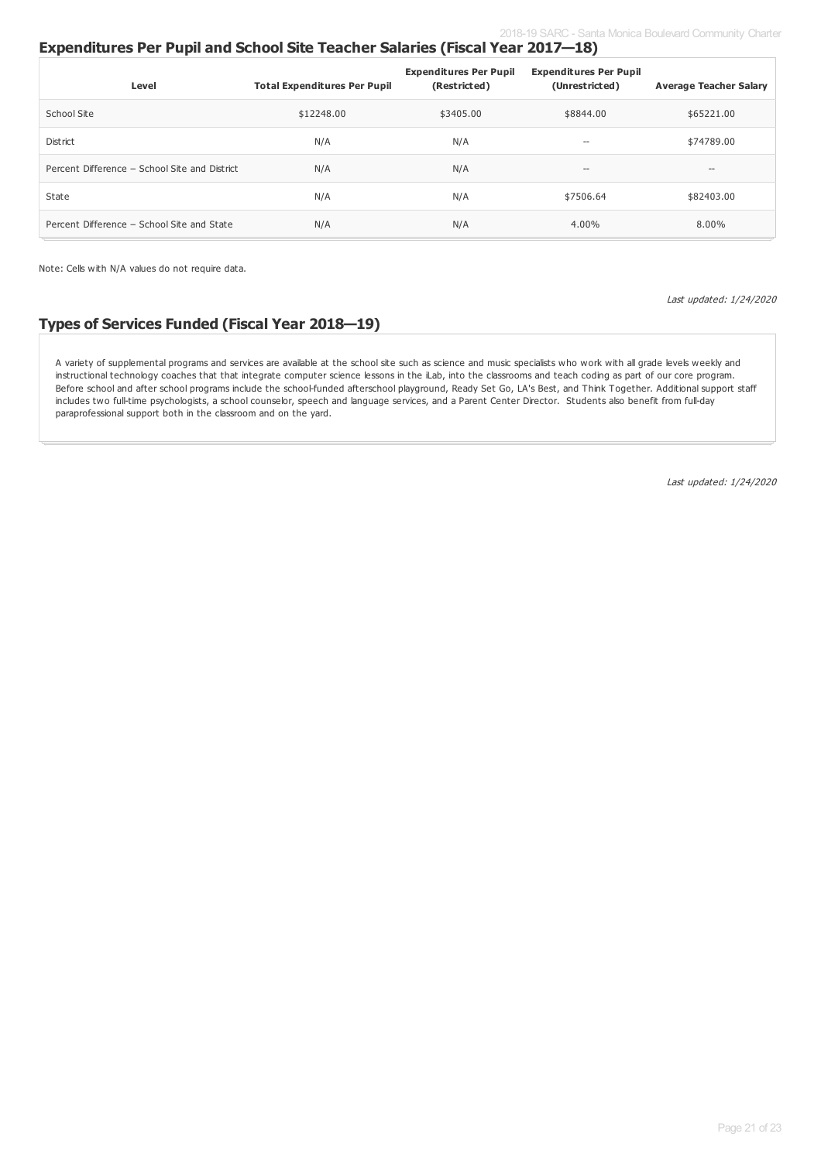## **Expenditures Per Pupil and School Site Teacher Salaries (Fiscal Year 2017—18)**

| Level                                         | <b>Total Expenditures Per Pupil</b> | <b>Expenditures Per Pupil</b><br>(Restricted) | <b>Expenditures Per Pupil</b><br>(Unrestricted)     | <b>Average Teacher Salary</b> |
|-----------------------------------------------|-------------------------------------|-----------------------------------------------|-----------------------------------------------------|-------------------------------|
| School Site                                   | \$12248.00                          | \$3405.00                                     | \$8844.00                                           | \$65221.00                    |
| District                                      | N/A                                 | N/A                                           | $\hspace{0.05cm} -\hspace{0.05cm} -\hspace{0.05cm}$ | \$74789.00                    |
| Percent Difference - School Site and District | N/A                                 | N/A                                           | $\hspace{0.05cm} -\hspace{0.05cm} -\hspace{0.05cm}$ | --                            |
| State                                         | N/A                                 | N/A                                           | \$7506.64                                           | \$82403.00                    |
| Percent Difference - School Site and State    | N/A                                 | N/A                                           | 4.00%                                               | 8.00%                         |

Note: Cells with N/A values do not require data.

Last updated: 1/24/2020

## **Types of Services Funded (Fiscal Year 2018—19)**

A variety of supplemental programs and services are available at the school site such as science and music specialists who work with all grade levels weekly and instructional technology coaches that that integrate computer science lessons in the iLab, into the classrooms and teach coding as part of our core program. Before school and after school programs include the school-funded afterschool playground, Ready Set Go, LA's Best, and Think Together. Additional support staff includes two full-time psychologists, a school counselor, speech and language services, and a Parent Center Director. Students also benefit from full-day paraprofessional support both in the classroom and on the yard.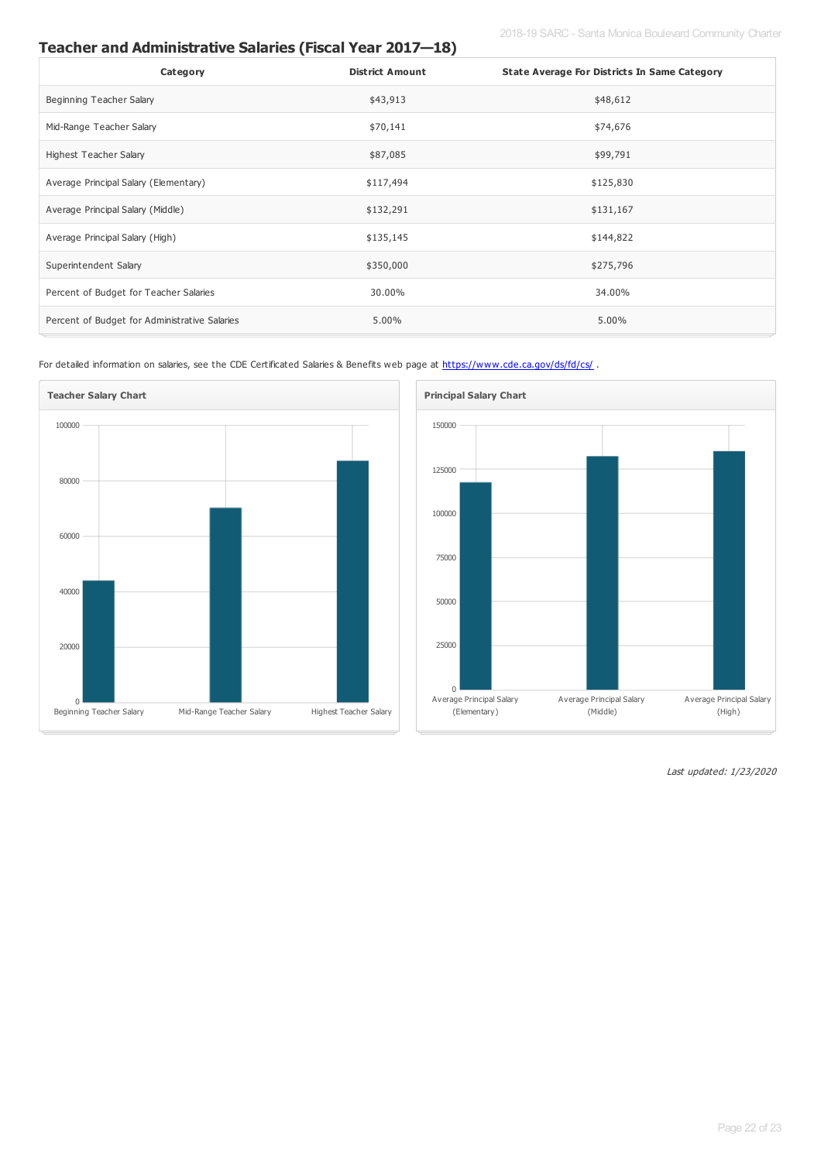## **Teacher and Administrative Salaries (Fiscal Year 2017—18)**

| Category                                      | <b>District Amount</b> | <b>State Average For Districts In Same Category</b> |
|-----------------------------------------------|------------------------|-----------------------------------------------------|
| Beginning Teacher Salary                      | \$43,913               | \$48,612                                            |
| Mid-Range Teacher Salary                      | \$70,141               | \$74,676                                            |
| Highest Teacher Salary                        | \$87,085               | \$99,791                                            |
| Average Principal Salary (Elementary)         | \$117,494              | \$125,830                                           |
| Average Principal Salary (Middle)             | \$132,291              | \$131,167                                           |
| Average Principal Salary (High)               | \$135,145              | \$144,822                                           |
| Superintendent Salary                         | \$350,000              | \$275,796                                           |
| Percent of Budget for Teacher Salaries        | 30.00%                 | 34.00%                                              |
| Percent of Budget for Administrative Salaries | 5.00%                  | 5.00%                                               |

For detailed information on salaries, see the CDE Certificated Salaries & Benefits web page at <https://www.cde.ca.gov/ds/fd/cs/> .